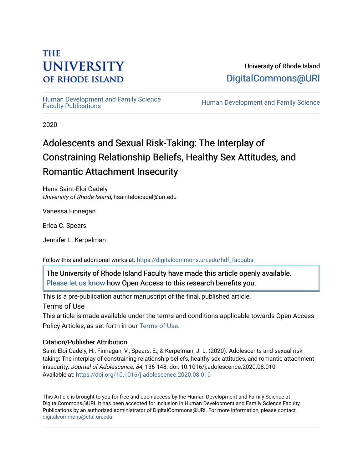# **THE UNIVERSITY OF RHODE ISLAND**

University of Rhode Island [DigitalCommons@URI](https://digitalcommons.uri.edu/) 

Human Development and Family Science<br>Faculty Publications

Human Development and Family Science

2020

# Adolescents and Sexual Risk-Taking: The Interplay of Constraining Relationship Beliefs, Healthy Sex Attitudes, and Romantic Attachment Insecurity

Hans Saint-Eloi Cadely University of Rhode Island, hsainteloicadel@uri.edu

Vanessa Finnegan

Erica C. Spears

Jennifer L. Kerpelman

Follow this and additional works at: [https://digitalcommons.uri.edu/hdf\\_facpubs](https://digitalcommons.uri.edu/hdf_facpubs?utm_source=digitalcommons.uri.edu%2Fhdf_facpubs%2F83&utm_medium=PDF&utm_campaign=PDFCoverPages) 

The University of Rhode Island Faculty have made this article openly available. [Please let us know](http://web.uri.edu/library-digital-initiatives/open-access-online-form/) how Open Access to this research benefits you.

This is a pre-publication author manuscript of the final, published article.

Terms of Use

This article is made available under the terms and conditions applicable towards Open Access Policy Articles, as set forth in our [Terms of Use](https://digitalcommons.uri.edu/hdf_facpubs/oa_policy_terms.html).

## Citation/Publisher Attribution

Saint-Eloi Cadely, H., Finnegan, V., Spears, E., & Kerpelman, J. L. (2020). Adolescents and sexual risktaking: The interplay of constraining relationship beliefs, healthy sex attitudes, and romantic attachment insecurity. Journal of Adolescence, 84, 136-148. doi: 10.1016/j.adolescence.2020.08.010 Available at:<https://doi.org/10.1016/j.adolescence.2020.08.010>

This Article is brought to you for free and open access by the Human Development and Family Science at DigitalCommons@URI. It has been accepted for inclusion in Human Development and Family Science Faculty Publications by an authorized administrator of DigitalCommons@URI. For more information, please contact [digitalcommons@etal.uri.edu](mailto:digitalcommons@etal.uri.edu).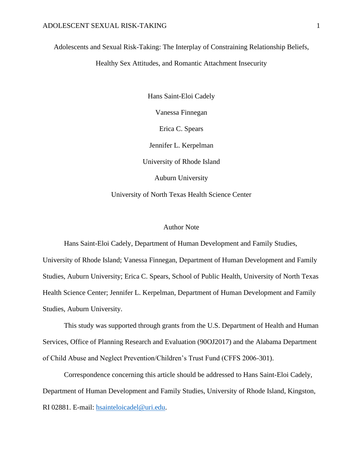Adolescents and Sexual Risk-Taking: The Interplay of Constraining Relationship Beliefs,

Healthy Sex Attitudes, and Romantic Attachment Insecurity

Hans Saint-Eloi Cadely Vanessa Finnegan Erica C. Spears Jennifer L. Kerpelman University of Rhode Island Auburn University University of North Texas Health Science Center

#### Author Note

Hans Saint-Eloi Cadely, Department of Human Development and Family Studies,

University of Rhode Island; Vanessa Finnegan, Department of Human Development and Family Studies, Auburn University; Erica C. Spears, School of Public Health, University of North Texas Health Science Center; Jennifer L. Kerpelman, Department of Human Development and Family Studies, Auburn University.

This study was supported through grants from the U.S. Department of Health and Human Services, Office of Planning Research and Evaluation (90OJ2017) and the Alabama Department of Child Abuse and Neglect Prevention/Children's Trust Fund (CFFS 2006-301).

Correspondence concerning this article should be addressed to Hans Saint-Eloi Cadely, Department of Human Development and Family Studies, University of Rhode Island, Kingston, RI 02881. E-mail: [hsainteloicadel@uri.edu.](mailto:hsainteloicadel@uri.edu)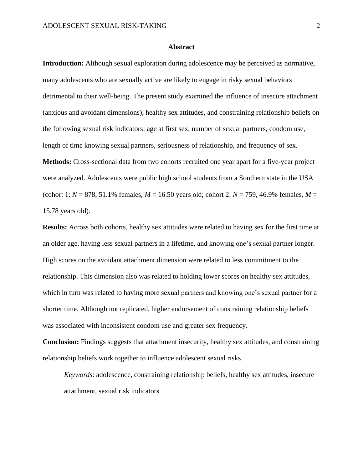#### **Abstract**

**Introduction:** Although sexual exploration during adolescence may be perceived as normative, many adolescents who are sexually active are likely to engage in risky sexual behaviors detrimental to their well-being. The present study examined the influence of insecure attachment (anxious and avoidant dimensions), healthy sex attitudes, and constraining relationship beliefs on the following sexual risk indicators: age at first sex, number of sexual partners, condom use, length of time knowing sexual partners, seriousness of relationship, and frequency of sex. **Methods:** Cross-sectional data from two cohorts recruited one year apart for a five-year project were analyzed. Adolescents were public high school students from a Southern state in the USA (cohort 1: *N* = 878, 51.1% females, *M* = 16.50 years old; cohort 2: *N* = 759, 46.9% females, *M* = 15.78 years old).

**Results:** Across both cohorts, healthy sex attitudes were related to having sex for the first time at an older age, having less sexual partners in a lifetime, and knowing one's sexual partner longer. High scores on the avoidant attachment dimension were related to less commitment to the relationship. This dimension also was related to holding lower scores on healthy sex attitudes, which in turn was related to having more sexual partners and knowing one's sexual partner for a shorter time. Although not replicated, higher endorsement of constraining relationship beliefs was associated with inconsistent condom use and greater sex frequency.

**Conclusion:** Findings suggests that attachment insecurity, healthy sex attitudes, and constraining relationship beliefs work together to influence adolescent sexual risks.

*Keywords*: adolescence, constraining relationship beliefs, healthy sex attitudes, insecure attachment, sexual risk indicators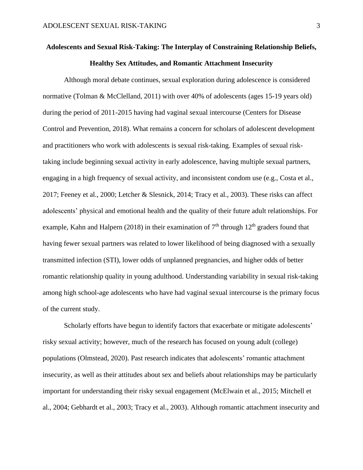# **Adolescents and Sexual Risk-Taking: The Interplay of Constraining Relationship Beliefs, Healthy Sex Attitudes, and Romantic Attachment Insecurity**

Although moral debate continues, sexual exploration during adolescence is considered normative (Tolman & McClelland, 2011) with over 40% of adolescents (ages 15-19 years old) during the period of 2011-2015 having had vaginal sexual intercourse (Centers for Disease Control and Prevention, 2018). What remains a concern for scholars of adolescent development and practitioners who work with adolescents is sexual risk-taking. Examples of sexual risktaking include beginning sexual activity in early adolescence, having multiple sexual partners, engaging in a high frequency of sexual activity, and inconsistent condom use (e.g., Costa et al., 2017; Feeney et al., 2000; Letcher & Slesnick, 2014; Tracy et al., 2003). These risks can affect adolescents' physical and emotional health and the quality of their future adult relationships. For example, Kahn and Halpern (2018) in their examination of  $7<sup>th</sup>$  through 12<sup>th</sup> graders found that having fewer sexual partners was related to lower likelihood of being diagnosed with a sexually transmitted infection (STI), lower odds of unplanned pregnancies, and higher odds of better romantic relationship quality in young adulthood. Understanding variability in sexual risk-taking among high school-age adolescents who have had vaginal sexual intercourse is the primary focus of the current study.

Scholarly efforts have begun to identify factors that exacerbate or mitigate adolescents' risky sexual activity; however, much of the research has focused on young adult (college) populations (Olmstead, 2020). Past research indicates that adolescents' romantic attachment insecurity, as well as their attitudes about sex and beliefs about relationships may be particularly important for understanding their risky sexual engagement (McElwain et al., 2015; Mitchell et al., 2004; Gebhardt et al., 2003; Tracy et al., 2003). Although romantic attachment insecurity and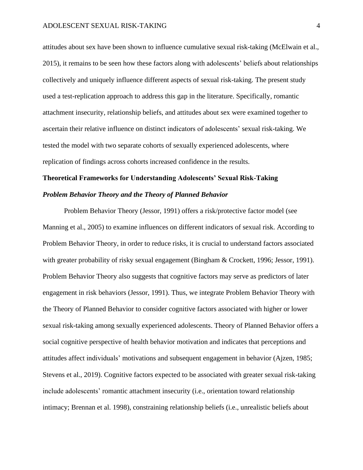attitudes about sex have been shown to influence cumulative sexual risk-taking (McElwain et al., 2015), it remains to be seen how these factors along with adolescents' beliefs about relationships collectively and uniquely influence different aspects of sexual risk-taking. The present study used a test-replication approach to address this gap in the literature. Specifically, romantic attachment insecurity, relationship beliefs, and attitudes about sex were examined together to ascertain their relative influence on distinct indicators of adolescents' sexual risk-taking. We tested the model with two separate cohorts of sexually experienced adolescents, where replication of findings across cohorts increased confidence in the results.

# **Theoretical Frameworks for Understanding Adolescents' Sexual Risk-Taking** *Problem Behavior Theory and the Theory of Planned Behavior*

Problem Behavior Theory (Jessor, 1991) offers a risk/protective factor model (see Manning et al., 2005) to examine influences on different indicators of sexual risk. According to Problem Behavior Theory, in order to reduce risks, it is crucial to understand factors associated with greater probability of risky sexual engagement (Bingham & Crockett, 1996; Jessor, 1991). Problem Behavior Theory also suggests that cognitive factors may serve as predictors of later engagement in risk behaviors (Jessor, 1991). Thus, we integrate Problem Behavior Theory with the Theory of Planned Behavior to consider cognitive factors associated with higher or lower sexual risk-taking among sexually experienced adolescents. Theory of Planned Behavior offers a social cognitive perspective of health behavior motivation and indicates that perceptions and attitudes affect individuals' motivations and subsequent engagement in behavior (Ajzen, 1985; Stevens et al., 2019). Cognitive factors expected to be associated with greater sexual risk-taking include adolescents' romantic attachment insecurity (i.e., orientation toward relationship intimacy; Brennan et al. 1998), constraining relationship beliefs (i.e., unrealistic beliefs about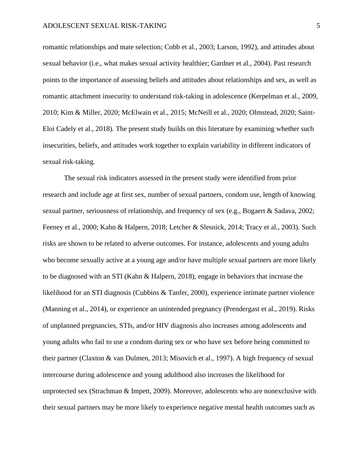romantic relationships and mate selection; Cobb et al., 2003; Larson, 1992), and attitudes about sexual behavior (i.e., what makes sexual activity healthier; Gardner et al., 2004). Past research points to the importance of assessing beliefs and attitudes about relationships and sex, as well as romantic attachment insecurity to understand risk-taking in adolescence (Kerpelman et al., 2009, 2010; Kim & Miller, 2020; McElwain et al., 2015; McNeill et al., 2020; Olmstead, 2020; Saint-Eloi Cadely et al., 2018). The present study builds on this literature by examining whether such insecurities, beliefs, and attitudes work together to explain variability in different indicators of sexual risk-taking.

The sexual risk indicators assessed in the present study were identified from prior research and include age at first sex, number of sexual partners, condom use, length of knowing sexual partner, seriousness of relationship, and frequency of sex (e.g., Bogaert & Sadava, 2002; Feeney et al., 2000; Kahn & Halpern, 2018; Letcher & Slesnick, 2014; Tracy et al., 2003). Such risks are shown to be related to adverse outcomes. For instance, adolescents and young adults who become sexually active at a young age and/or have multiple sexual partners are more likely to be diagnosed with an STI (Kahn & Halpern, 2018), engage in behaviors that increase the likelihood for an STI diagnosis (Cubbins & Tanfer, 2000), experience intimate partner violence (Manning et al., 2014), or experience an unintended pregnancy (Prendergast et al., 2019). Risks of unplanned pregnancies, STIs, and/or HIV diagnosis also increases among adolescents and young adults who fail to use a condom during sex or who have sex before being committed to their partner (Claxton & van Dulmen, 2013; Misovich et al., 1997). A high frequency of sexual intercourse during adolescence and young adulthood also increases the likelihood for unprotected sex (Strachman & Impett, 2009). Moreover, adolescents who are nonexclusive with their sexual partners may be more likely to experience negative mental health outcomes such as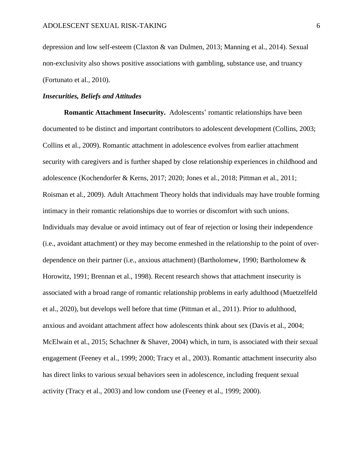depression and low self-esteem (Claxton & van Dulmen, 2013; Manning et al., 2014). Sexual non-exclusivity also shows positive associations with gambling, substance use, and truancy (Fortunato et al., 2010).

#### *Insecurities, Beliefs and Attitudes*

**Romantic Attachment Insecurity.** Adolescents' romantic relationships have been documented to be distinct and important contributors to adolescent development (Collins, 2003; Collins et al., 2009). Romantic attachment in adolescence evolves from earlier attachment security with caregivers and is further shaped by close relationship experiences in childhood and adolescence (Kochendorfer & Kerns, 2017; 2020; Jones et al., 2018; Pittman et al., 2011; Roisman et al., 2009). Adult Attachment Theory holds that individuals may have trouble forming intimacy in their romantic relationships due to worries or discomfort with such unions. Individuals may devalue or avoid intimacy out of fear of rejection or losing their independence (i.e., avoidant attachment) or they may become enmeshed in the relationship to the point of overdependence on their partner (i.e., anxious attachment) (Bartholomew, 1990; Bartholomew & Horowitz, 1991; Brennan et al., 1998). Recent research shows that attachment insecurity is associated with a broad range of romantic relationship problems in early adulthood (Muetzelfeld et al., 2020), but develops well before that time (Pittman et al., 2011). Prior to adulthood, anxious and avoidant attachment affect how adolescents think about sex (Davis et al., 2004; McElwain et al., 2015; Schachner & Shaver, 2004) which, in turn, is associated with their sexual engagement (Feeney et al., 1999; 2000; Tracy et al., 2003). Romantic attachment insecurity also has direct links to various sexual behaviors seen in adolescence, including frequent sexual activity (Tracy et al., 2003) and low condom use (Feeney et al., 1999; 2000).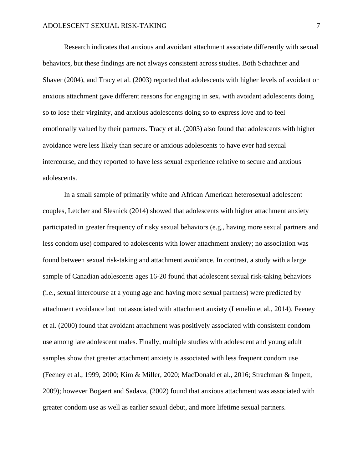Research indicates that anxious and avoidant attachment associate differently with sexual behaviors, but these findings are not always consistent across studies. Both Schachner and Shaver (2004), and Tracy et al. (2003) reported that adolescents with higher levels of avoidant or anxious attachment gave different reasons for engaging in sex, with avoidant adolescents doing so to lose their virginity, and anxious adolescents doing so to express love and to feel emotionally valued by their partners. Tracy et al. (2003) also found that adolescents with higher avoidance were less likely than secure or anxious adolescents to have ever had sexual intercourse, and they reported to have less sexual experience relative to secure and anxious adolescents.

In a small sample of primarily white and African American heterosexual adolescent couples, Letcher and Slesnick (2014) showed that adolescents with higher attachment anxiety participated in greater frequency of risky sexual behaviors (e.g., having more sexual partners and less condom use) compared to adolescents with lower attachment anxiety; no association was found between sexual risk-taking and attachment avoidance. In contrast, a study with a large sample of Canadian adolescents ages 16-20 found that adolescent sexual risk-taking behaviors (i.e., sexual intercourse at a young age and having more sexual partners) were predicted by attachment avoidance but not associated with attachment anxiety (Lemelin et al., 2014). Feeney et al. (2000) found that avoidant attachment was positively associated with consistent condom use among late adolescent males. Finally, multiple studies with adolescent and young adult samples show that greater attachment anxiety is associated with less frequent condom use (Feeney et al., 1999, 2000; Kim & Miller, 2020; MacDonald et al., 2016; Strachman & Impett, 2009); however Bogaert and Sadava, (2002) found that anxious attachment was associated with greater condom use as well as earlier sexual debut, and more lifetime sexual partners.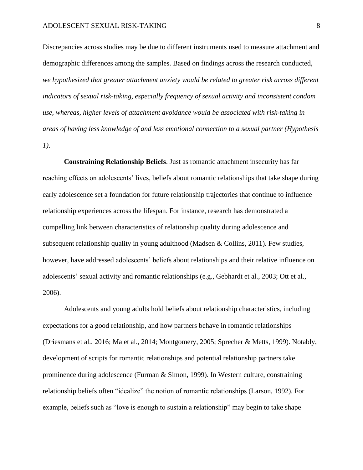Discrepancies across studies may be due to different instruments used to measure attachment and demographic differences among the samples. Based on findings across the research conducted, *we hypothesized that greater attachment anxiety would be related to greater risk across different indicators of sexual risk-taking, especially frequency of sexual activity and inconsistent condom use, whereas, higher levels of attachment avoidance would be associated with risk-taking in areas of having less knowledge of and less emotional connection to a sexual partner (Hypothesis 1)*.

**Constraining Relationship Beliefs**. Just as romantic attachment insecurity has far reaching effects on adolescents' lives, beliefs about romantic relationships that take shape during early adolescence set a foundation for future relationship trajectories that continue to influence relationship experiences across the lifespan. For instance, research has demonstrated a compelling link between characteristics of relationship quality during adolescence and subsequent relationship quality in young adulthood (Madsen & Collins, 2011). Few studies, however, have addressed adolescents' beliefs about relationships and their relative influence on adolescents' sexual activity and romantic relationships (e.g., Gebhardt et al., 2003; Ott et al., 2006).

Adolescents and young adults hold beliefs about relationship characteristics, including expectations for a good relationship, and how partners behave in romantic relationships (Driesmans et al., 2016; Ma et al., 2014; Montgomery, 2005; Sprecher & Metts, 1999). Notably, development of scripts for romantic relationships and potential relationship partners take prominence during adolescence (Furman & Simon, 1999). In Western culture, constraining relationship beliefs often "idealize" the notion of romantic relationships (Larson, 1992). For example, beliefs such as "love is enough to sustain a relationship" may begin to take shape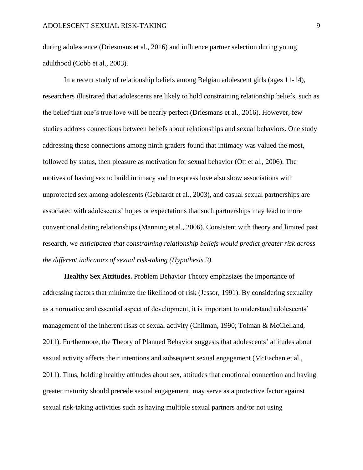during adolescence (Driesmans et al., 2016) and influence partner selection during young adulthood (Cobb et al., 2003).

In a recent study of relationship beliefs among Belgian adolescent girls (ages 11-14), researchers illustrated that adolescents are likely to hold constraining relationship beliefs, such as the belief that one's true love will be nearly perfect (Driesmans et al., 2016). However, few studies address connections between beliefs about relationships and sexual behaviors. One study addressing these connections among ninth graders found that intimacy was valued the most, followed by status, then pleasure as motivation for sexual behavior (Ott et al., 2006). The motives of having sex to build intimacy and to express love also show associations with unprotected sex among adolescents (Gebhardt et al., 2003), and casual sexual partnerships are associated with adolescents' hopes or expectations that such partnerships may lead to more conventional dating relationships (Manning et al., 2006). Consistent with theory and limited past research, *we anticipated that constraining relationship beliefs would predict greater risk across the different indicators of sexual risk-taking (Hypothesis 2)*.

**Healthy Sex Attitudes.** Problem Behavior Theory emphasizes the importance of addressing factors that minimize the likelihood of risk (Jessor, 1991). By considering sexuality as a normative and essential aspect of development, it is important to understand adolescents' management of the inherent risks of sexual activity (Chilman, 1990; Tolman & McClelland, 2011). Furthermore, the Theory of Planned Behavior suggests that adolescents' attitudes about sexual activity affects their intentions and subsequent sexual engagement (McEachan et al., 2011). Thus, holding healthy attitudes about sex, attitudes that emotional connection and having greater maturity should precede sexual engagement, may serve as a protective factor against sexual risk-taking activities such as having multiple sexual partners and/or not using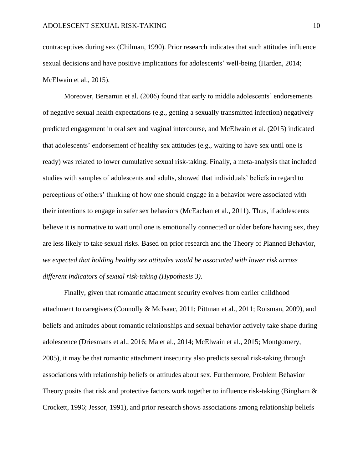contraceptives during sex (Chilman, 1990). Prior research indicates that such attitudes influence sexual decisions and have positive implications for adolescents' well-being (Harden, 2014; McElwain et al., 2015).

Moreover, Bersamin et al. (2006) found that early to middle adolescents' endorsements of negative sexual health expectations (e.g., getting a sexually transmitted infection) negatively predicted engagement in oral sex and vaginal intercourse, and McElwain et al. (2015) indicated that adolescents' endorsement of healthy sex attitudes (e.g., waiting to have sex until one is ready) was related to lower cumulative sexual risk-taking. Finally, a meta-analysis that included studies with samples of adolescents and adults, showed that individuals' beliefs in regard to perceptions of others' thinking of how one should engage in a behavior were associated with their intentions to engage in safer sex behaviors (McEachan et al., 2011). Thus, if adolescents believe it is normative to wait until one is emotionally connected or older before having sex, they are less likely to take sexual risks. Based on prior research and the Theory of Planned Behavior, *we expected that holding healthy sex attitudes would be associated with lower risk across different indicators of sexual risk-taking (Hypothesis 3)*.

Finally, given that romantic attachment security evolves from earlier childhood attachment to caregivers (Connolly & McIsaac, 2011; Pittman et al., 2011; Roisman, 2009), and beliefs and attitudes about romantic relationships and sexual behavior actively take shape during adolescence (Driesmans et al., 2016; Ma et al., 2014; McElwain et al., 2015; Montgomery, 2005), it may be that romantic attachment insecurity also predicts sexual risk-taking through associations with relationship beliefs or attitudes about sex. Furthermore, Problem Behavior Theory posits that risk and protective factors work together to influence risk-taking (Bingham & Crockett, 1996; Jessor, 1991), and prior research shows associations among relationship beliefs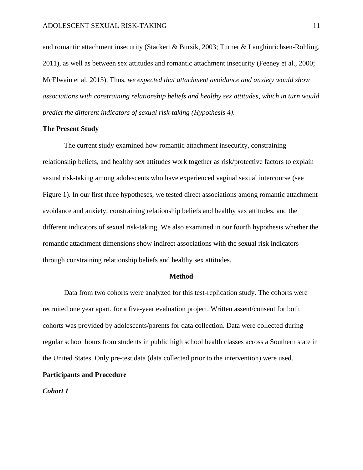and romantic attachment insecurity (Stackert & Bursik, 2003; Turner & Langhinrichsen-Rohling, 2011), as well as between sex attitudes and romantic attachment insecurity (Feeney et al., 2000; McElwain et al, 2015). Thus, *we expected that attachment avoidance and anxiety would show associations with constraining relationship beliefs and healthy sex attitudes, which in turn would predict the different indicators of sexual risk-taking (Hypothesis 4)*.

#### **The Present Study**

The current study examined how romantic attachment insecurity, constraining relationship beliefs, and healthy sex attitudes work together as risk/protective factors to explain sexual risk-taking among adolescents who have experienced vaginal sexual intercourse (see Figure 1). In our first three hypotheses, we tested direct associations among romantic attachment avoidance and anxiety, constraining relationship beliefs and healthy sex attitudes, and the different indicators of sexual risk-taking. We also examined in our fourth hypothesis whether the romantic attachment dimensions show indirect associations with the sexual risk indicators through constraining relationship beliefs and healthy sex attitudes.

#### **Method**

Data from two cohorts were analyzed for this test-replication study. The cohorts were recruited one year apart, for a five-year evaluation project. Written assent/consent for both cohorts was provided by adolescents/parents for data collection. Data were collected during regular school hours from students in public high school health classes across a Southern state in the United States. Only pre-test data (data collected prior to the intervention) were used.

#### **Participants and Procedure**

*Cohort 1*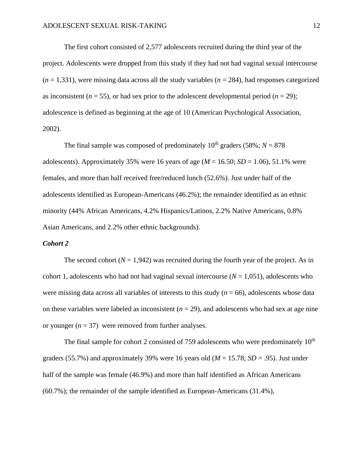The first cohort consisted of 2,577 adolescents recruited during the third year of the project. Adolescents were dropped from this study if they had not had vaginal sexual intercourse  $(n = 1,331)$ , were missing data across all the study variables  $(n = 284)$ , had responses categorized as inconsistent ( $n = 55$ ), or had sex prior to the adolescent developmental period ( $n = 29$ ); adolescence is defined as beginning at the age of 10 (American Psychological Association, 2002).

The final sample was composed of predominately  $10^{th}$  graders (58%;  $N = 878$ ) adolescents). Approximately 35% were 16 years of age  $(M = 16.50; SD = 1.06)$ , 51.1% were females, and more than half received free/reduced lunch (52.6%). Just under half of the adolescents identified as European-Americans (46.2%); the remainder identified as an ethnic minority (44% African Americans, 4.2% Hispanics/Latinos, 2.2% Native Americans, 0.8% Asian Americans, and 2.2% other ethnic backgrounds).

#### *Cohort 2*

The second cohort  $(N = 1.942)$  was recruited during the fourth year of the project. As in cohort 1, adolescents who had not had vaginal sexual intercourse  $(N = 1,051)$ , adolescents who were missing data across all variables of interests to this study  $(n = 66)$ , adolescents whose data on these variables were labeled as inconsistent  $(n = 29)$ , and adolescents who had sex at age nine or younger  $(n = 37)$  were removed from further analyses.

The final sample for cohort 2 consisted of 759 adolescents who were predominately  $10<sup>th</sup>$ graders (55.7%) and approximately 39% were 16 years old ( $M = 15.78$ ;  $SD = .95$ ). Just under half of the sample was female (46.9%) and more than half identified as African Americans (60.7%); the remainder of the sample identified as European-Americans (31.4%),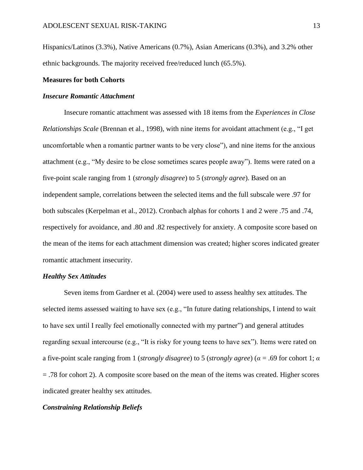Hispanics/Latinos (3.3%), Native Americans (0.7%), Asian Americans (0.3%), and 3.2% other ethnic backgrounds. The majority received free/reduced lunch (65.5%).

#### **Measures for both Cohorts**

#### *Insecure Romantic Attachment*

Insecure romantic attachment was assessed with 18 items from the *Experiences in Close Relationships Scale* (Brennan et al., 1998), with nine items for avoidant attachment (e.g., "I get uncomfortable when a romantic partner wants to be very close"), and nine items for the anxious attachment (e.g., "My desire to be close sometimes scares people away"). Items were rated on a five-point scale ranging from 1 (*strongly disagree*) to 5 (*strongly agree*). Based on an independent sample, correlations between the selected items and the full subscale were .97 for both subscales (Kerpelman et al., 2012). Cronbach alphas for cohorts 1 and 2 were .75 and .74, respectively for avoidance, and .80 and .82 respectively for anxiety. A composite score based on the mean of the items for each attachment dimension was created; higher scores indicated greater romantic attachment insecurity.

#### *Healthy Sex Attitudes*

Seven items from Gardner et al. (2004) were used to assess healthy sex attitudes. The selected items assessed waiting to have sex (e.g., "In future dating relationships, I intend to wait to have sex until I really feel emotionally connected with my partner") and general attitudes regarding sexual intercourse (e.g., "It is risky for young teens to have sex"). Items were rated on a five-point scale ranging from 1 (*strongly disagree*) to 5 (*strongly agree*) (*α* = .69 for cohort 1; *α* = .78 for cohort 2). A composite score based on the mean of the items was created. Higher scores indicated greater healthy sex attitudes.

#### *Constraining Relationship Beliefs*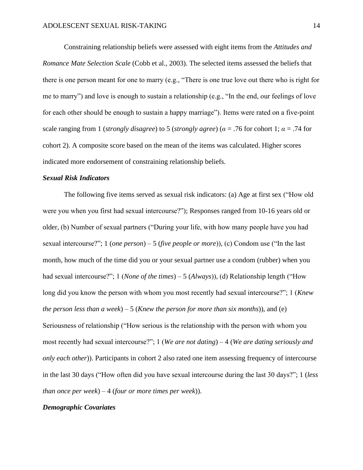Constraining relationship beliefs were assessed with eight items from the *Attitudes and Romance Mate Selection Scale* (Cobb et al., 2003). The selected items assessed the beliefs that there is one person meant for one to marry (e.g., "There is one true love out there who is right for me to marry") and love is enough to sustain a relationship (e.g., "In the end, our feelings of love for each other should be enough to sustain a happy marriage"). Items were rated on a five-point scale ranging from 1 (*strongly disagree*) to 5 (*strongly agree*) (*α* = .76 for cohort 1; *α* = .74 for cohort 2). A composite score based on the mean of the items was calculated. Higher scores indicated more endorsement of constraining relationship beliefs.

#### *Sexual Risk Indicators*

The following five items served as sexual risk indicators: (a) Age at first sex ("How old were you when you first had sexual intercourse?"); Responses ranged from 10-16 years old or older, (b) Number of sexual partners ("During your life, with how many people have you had sexual intercourse?"; 1 (*one person*) – 5 (*five people or more*)), (c) Condom use ("In the last month, how much of the time did you or your sexual partner use a condom (rubber) when you had sexual intercourse?"; 1 (*None of the times*) – 5 (*Always*)), (d) Relationship length ("How long did you know the person with whom you most recently had sexual intercourse?"; 1 (*Knew the person less than a week*) – 5 (*Knew the person for more than six months*)), and (e) Seriousness of relationship ("How serious is the relationship with the person with whom you most recently had sexual intercourse?"; 1 (*We are not dating*) – 4 (*We are dating seriously and only each other*)). Participants in cohort 2 also rated one item assessing frequency of intercourse in the last 30 days ("How often did you have sexual intercourse during the last 30 days?"; 1 (*less than once per week*) – 4 (*four or more times per week*)).

#### *Demographic Covariates*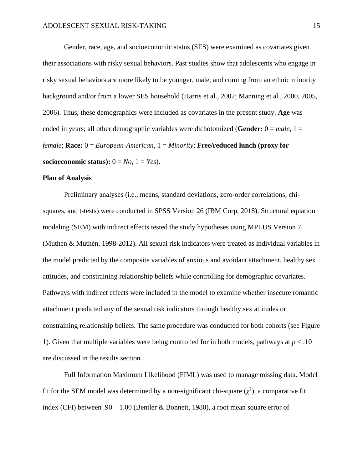Gender, race, age, and socioeconomic status (SES) were examined as covariates given their associations with risky sexual behaviors. Past studies show that adolescents who engage in risky sexual behaviors are more likely to be younger, male, and coming from an ethnic minority background and/or from a lower SES household (Harris et al., 2002; Manning et al., 2000, 2005, 2006). Thus, these demographics were included as covariates in the present study. **Age** was coded in years; all other demographic variables were dichotomized (**Gender:** 0 = *male*, 1 = *female*; **Race:** 0 = *European-American*, 1 = *Minority*; **Free/reduced lunch (proxy for socioeconomic status):**  $0 = No$ ,  $1 = Yes$ ).

#### **Plan of Analysis**

Preliminary analyses (i.e., means, standard deviations, zero-order correlations, chisquares, and t-tests) were conducted in SPSS Version 26 (IBM Corp, 2018). Structural equation modeling (SEM) with indirect effects tested the study hypotheses using MPLUS Version 7 (Muthén & Muthén, 1998-2012). All sexual risk indicators were treated as individual variables in the model predicted by the composite variables of anxious and avoidant attachment, healthy sex attitudes, and constraining relationship beliefs while controlling for demographic covariates. Pathways with indirect effects were included in the model to examine whether insecure romantic attachment predicted any of the sexual risk indicators through healthy sex attitudes or constraining relationship beliefs. The same procedure was conducted for both cohorts (see Figure 1). Given that multiple variables were being controlled for in both models, pathways at *p* < .10 are discussed in the results section.

Full Information Maximum Likelihood (FIML) was used to manage missing data. Model fit for the SEM model was determined by a non-significant chi-square  $(\chi^2)$ , a comparative fit index (CFI) between  $.90 - 1.00$  (Bentler & Bonnett, 1980), a root mean square error of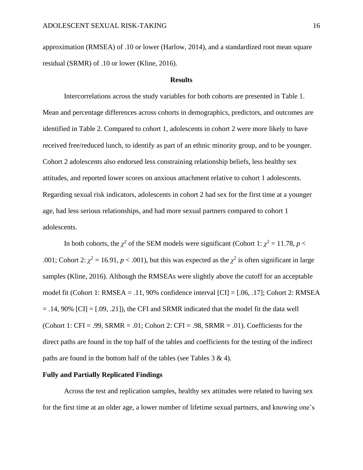approximation (RMSEA) of .10 or lower (Harlow, 2014), and a standardized root mean square residual (SRMR) of .10 or lower (Kline, 2016).

#### **Results**

Intercorrelations across the study variables for both cohorts are presented in Table 1. Mean and percentage differences across cohorts in demographics, predictors, and outcomes are identified in Table 2. Compared to cohort 1, adolescents in cohort 2 were more likely to have received free/reduced lunch, to identify as part of an ethnic minority group, and to be younger. Cohort 2 adolescents also endorsed less constraining relationship beliefs, less healthy sex attitudes, and reported lower scores on anxious attachment relative to cohort 1 adolescents. Regarding sexual risk indicators, adolescents in cohort 2 had sex for the first time at a younger age, had less serious relationships, and had more sexual partners compared to cohort 1 adolescents.

In both cohorts, the  $\chi^2$  of the SEM models were significant (Cohort 1:  $\chi^2 = 11.78$ ,  $p <$ .001; Cohort 2:  $\chi^2 = 16.91$ ,  $p < .001$ ), but this was expected as the  $\chi^2$  is often significant in large samples (Kline, 2016). Although the RMSEAs were slightly above the cutoff for an acceptable model fit (Cohort 1: RMSEA = .11, 90% confidence interval [CI] = [.06, .17]; Cohort 2: RMSEA  $= .14, 90\%$  [CI]  $= [.09, .21]$ , the CFI and SRMR indicated that the model fit the data well (Cohort 1: CFI = .99, SRMR = .01; Cohort 2: CFI = .98, SRMR = .01). Coefficients for the direct paths are found in the top half of the tables and coefficients for the testing of the indirect paths are found in the bottom half of the tables (see Tables  $3 \& 4$ ).

#### **Fully and Partially Replicated Findings**

Across the test and replication samples, healthy sex attitudes were related to having sex for the first time at an older age, a lower number of lifetime sexual partners, and knowing one's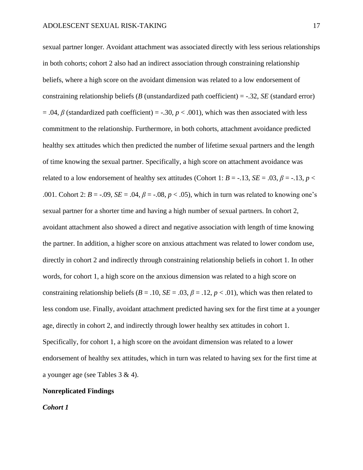sexual partner longer. Avoidant attachment was associated directly with less serious relationships in both cohorts; cohort 2 also had an indirect association through constraining relationship beliefs, where a high score on the avoidant dimension was related to a low endorsement of constraining relationship beliefs (*B* (unstandardized path coefficient) = -.32, *SE* (standard error)  $= .04$ ,  $\beta$  (standardized path coefficient) = -.30,  $p < .001$ ), which was then associated with less commitment to the relationship. Furthermore, in both cohorts, attachment avoidance predicted healthy sex attitudes which then predicted the number of lifetime sexual partners and the length of time knowing the sexual partner. Specifically, a high score on attachment avoidance was related to a low endorsement of healthy sex attitudes (Cohort 1:  $B = -13$ ,  $SE = .03$ ,  $\beta = -13$ ,  $p <$ .001. Cohort 2:  $B = -.09$ ,  $SE = .04$ ,  $\beta = -.08$ ,  $p < .05$ ), which in turn was related to knowing one's sexual partner for a shorter time and having a high number of sexual partners. In cohort 2, avoidant attachment also showed a direct and negative association with length of time knowing the partner. In addition, a higher score on anxious attachment was related to lower condom use, directly in cohort 2 and indirectly through constraining relationship beliefs in cohort 1. In other words, for cohort 1, a high score on the anxious dimension was related to a high score on constraining relationship beliefs ( $B = .10$ ,  $SE = .03$ ,  $\beta = .12$ ,  $p < .01$ ), which was then related to less condom use. Finally, avoidant attachment predicted having sex for the first time at a younger age, directly in cohort 2, and indirectly through lower healthy sex attitudes in cohort 1. Specifically, for cohort 1, a high score on the avoidant dimension was related to a lower endorsement of healthy sex attitudes, which in turn was related to having sex for the first time at a younger age (see Tables 3 & 4).

#### **Nonreplicated Findings**

*Cohort 1*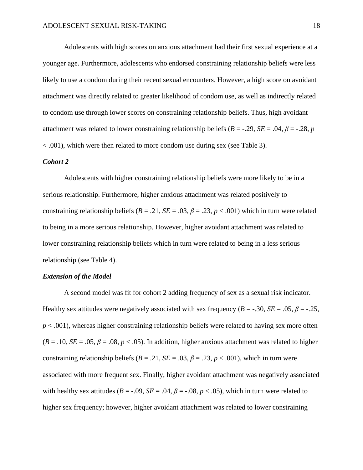Adolescents with high scores on anxious attachment had their first sexual experience at a younger age. Furthermore, adolescents who endorsed constraining relationship beliefs were less likely to use a condom during their recent sexual encounters. However, a high score on avoidant attachment was directly related to greater likelihood of condom use, as well as indirectly related to condom use through lower scores on constraining relationship beliefs. Thus, high avoidant attachment was related to lower constraining relationship beliefs ( $B = -0.29$ ,  $SE = 0.04$ ,  $\beta = -0.28$ , *p* < .001), which were then related to more condom use during sex (see Table 3).

#### *Cohort 2*

Adolescents with higher constraining relationship beliefs were more likely to be in a serious relationship. Furthermore, higher anxious attachment was related positively to constraining relationship beliefs  $(B = .21, SE = .03, \beta = .23, p < .001)$  which in turn were related to being in a more serious relationship. However, higher avoidant attachment was related to lower constraining relationship beliefs which in turn were related to being in a less serious relationship (see Table 4).

#### *Extension of the Model*

A second model was fit for cohort 2 adding frequency of sex as a sexual risk indicator. Healthy sex attitudes were negatively associated with sex frequency ( $B = -0.30$ ,  $SE = 0.05$ ,  $\beta = -0.25$ ,  $p < .001$ ), whereas higher constraining relationship beliefs were related to having sex more often  $(B = .10, SE = .05, \beta = .08, p < .05)$ . In addition, higher anxious attachment was related to higher constraining relationship beliefs ( $B = .21$ ,  $SE = .03$ ,  $\beta = .23$ ,  $p < .001$ ), which in turn were associated with more frequent sex. Finally, higher avoidant attachment was negatively associated with healthy sex attitudes ( $B = -0.09$ ,  $SE = 0.04$ ,  $\beta = -0.08$ ,  $p < 0.05$ ), which in turn were related to higher sex frequency; however, higher avoidant attachment was related to lower constraining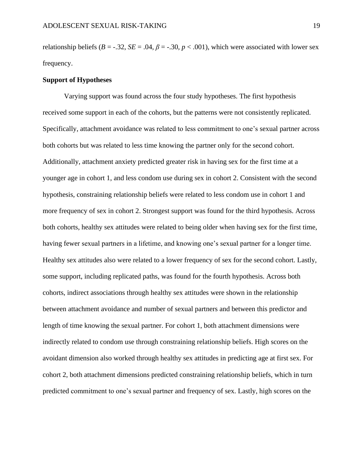relationship beliefs ( $B = -0.32$ ,  $SE = 0.04$ ,  $\beta = -0.30$ ,  $p < 0.001$ ), which were associated with lower sex frequency.

#### **Support of Hypotheses**

Varying support was found across the four study hypotheses. The first hypothesis received some support in each of the cohorts, but the patterns were not consistently replicated. Specifically, attachment avoidance was related to less commitment to one's sexual partner across both cohorts but was related to less time knowing the partner only for the second cohort. Additionally, attachment anxiety predicted greater risk in having sex for the first time at a younger age in cohort 1, and less condom use during sex in cohort 2. Consistent with the second hypothesis, constraining relationship beliefs were related to less condom use in cohort 1 and more frequency of sex in cohort 2. Strongest support was found for the third hypothesis. Across both cohorts, healthy sex attitudes were related to being older when having sex for the first time, having fewer sexual partners in a lifetime, and knowing one's sexual partner for a longer time. Healthy sex attitudes also were related to a lower frequency of sex for the second cohort. Lastly, some support, including replicated paths, was found for the fourth hypothesis. Across both cohorts, indirect associations through healthy sex attitudes were shown in the relationship between attachment avoidance and number of sexual partners and between this predictor and length of time knowing the sexual partner. For cohort 1, both attachment dimensions were indirectly related to condom use through constraining relationship beliefs. High scores on the avoidant dimension also worked through healthy sex attitudes in predicting age at first sex. For cohort 2, both attachment dimensions predicted constraining relationship beliefs, which in turn predicted commitment to one's sexual partner and frequency of sex. Lastly, high scores on the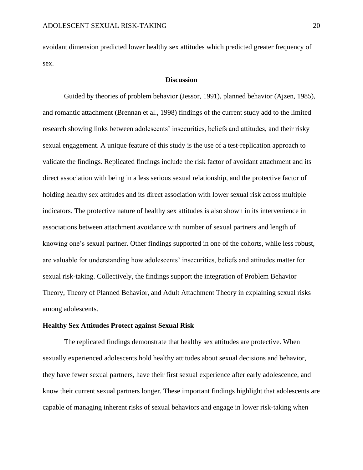avoidant dimension predicted lower healthy sex attitudes which predicted greater frequency of sex.

#### **Discussion**

Guided by theories of problem behavior (Jessor, 1991), planned behavior (Ajzen, 1985), and romantic attachment (Brennan et al., 1998) findings of the current study add to the limited research showing links between adolescents' insecurities, beliefs and attitudes, and their risky sexual engagement. A unique feature of this study is the use of a test-replication approach to validate the findings. Replicated findings include the risk factor of avoidant attachment and its direct association with being in a less serious sexual relationship, and the protective factor of holding healthy sex attitudes and its direct association with lower sexual risk across multiple indicators. The protective nature of healthy sex attitudes is also shown in its intervenience in associations between attachment avoidance with number of sexual partners and length of knowing one's sexual partner. Other findings supported in one of the cohorts, while less robust, are valuable for understanding how adolescents' insecurities, beliefs and attitudes matter for sexual risk-taking. Collectively, the findings support the integration of Problem Behavior Theory, Theory of Planned Behavior, and Adult Attachment Theory in explaining sexual risks among adolescents.

#### **Healthy Sex Attitudes Protect against Sexual Risk**

The replicated findings demonstrate that healthy sex attitudes are protective. When sexually experienced adolescents hold healthy attitudes about sexual decisions and behavior, they have fewer sexual partners, have their first sexual experience after early adolescence, and know their current sexual partners longer. These important findings highlight that adolescents are capable of managing inherent risks of sexual behaviors and engage in lower risk-taking when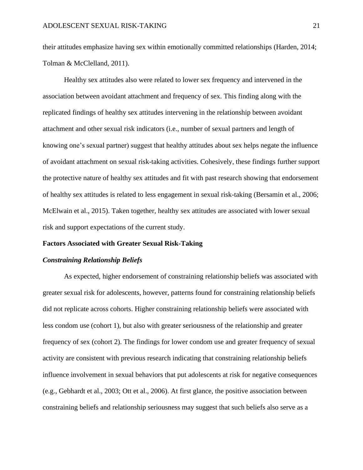their attitudes emphasize having sex within emotionally committed relationships (Harden, 2014; Tolman & McClelland, 2011).

Healthy sex attitudes also were related to lower sex frequency and intervened in the association between avoidant attachment and frequency of sex. This finding along with the replicated findings of healthy sex attitudes intervening in the relationship between avoidant attachment and other sexual risk indicators (i.e., number of sexual partners and length of knowing one's sexual partner) suggest that healthy attitudes about sex helps negate the influence of avoidant attachment on sexual risk-taking activities. Cohesively, these findings further support the protective nature of healthy sex attitudes and fit with past research showing that endorsement of healthy sex attitudes is related to less engagement in sexual risk-taking (Bersamin et al., 2006; McElwain et al., 2015). Taken together, healthy sex attitudes are associated with lower sexual risk and support expectations of the current study.

#### **Factors Associated with Greater Sexual Risk-Taking**

#### *Constraining Relationship Beliefs*

As expected, higher endorsement of constraining relationship beliefs was associated with greater sexual risk for adolescents, however, patterns found for constraining relationship beliefs did not replicate across cohorts. Higher constraining relationship beliefs were associated with less condom use (cohort 1), but also with greater seriousness of the relationship and greater frequency of sex (cohort 2). The findings for lower condom use and greater frequency of sexual activity are consistent with previous research indicating that constraining relationship beliefs influence involvement in sexual behaviors that put adolescents at risk for negative consequences (e.g., Gebhardt et al., 2003; Ott et al., 2006). At first glance, the positive association between constraining beliefs and relationship seriousness may suggest that such beliefs also serve as a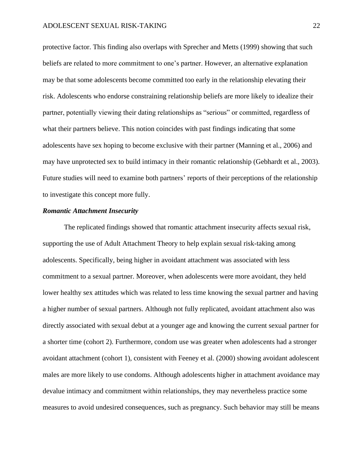protective factor. This finding also overlaps with Sprecher and Metts (1999) showing that such beliefs are related to more commitment to one's partner. However, an alternative explanation may be that some adolescents become committed too early in the relationship elevating their risk. Adolescents who endorse constraining relationship beliefs are more likely to idealize their partner, potentially viewing their dating relationships as "serious" or committed, regardless of what their partners believe. This notion coincides with past findings indicating that some adolescents have sex hoping to become exclusive with their partner (Manning et al., 2006) and may have unprotected sex to build intimacy in their romantic relationship (Gebhardt et al., 2003). Future studies will need to examine both partners' reports of their perceptions of the relationship to investigate this concept more fully.

#### *Romantic Attachment Insecurity*

The replicated findings showed that romantic attachment insecurity affects sexual risk, supporting the use of Adult Attachment Theory to help explain sexual risk-taking among adolescents. Specifically, being higher in avoidant attachment was associated with less commitment to a sexual partner. Moreover, when adolescents were more avoidant, they held lower healthy sex attitudes which was related to less time knowing the sexual partner and having a higher number of sexual partners. Although not fully replicated, avoidant attachment also was directly associated with sexual debut at a younger age and knowing the current sexual partner for a shorter time (cohort 2). Furthermore, condom use was greater when adolescents had a stronger avoidant attachment (cohort 1), consistent with Feeney et al. (2000) showing avoidant adolescent males are more likely to use condoms. Although adolescents higher in attachment avoidance may devalue intimacy and commitment within relationships, they may nevertheless practice some measures to avoid undesired consequences, such as pregnancy. Such behavior may still be means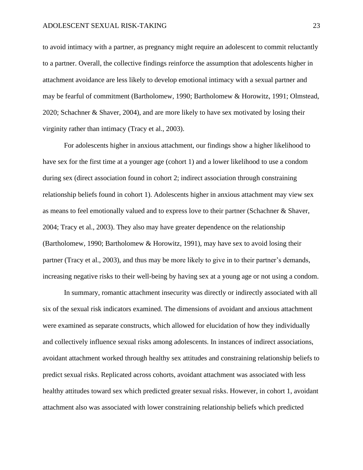to avoid intimacy with a partner, as pregnancy might require an adolescent to commit reluctantly to a partner. Overall, the collective findings reinforce the assumption that adolescents higher in attachment avoidance are less likely to develop emotional intimacy with a sexual partner and may be fearful of commitment (Bartholomew, 1990; Bartholomew & Horowitz, 1991; Olmstead, 2020; Schachner & Shaver, 2004), and are more likely to have sex motivated by losing their virginity rather than intimacy (Tracy et al., 2003).

For adolescents higher in anxious attachment, our findings show a higher likelihood to have sex for the first time at a younger age (cohort 1) and a lower likelihood to use a condom during sex (direct association found in cohort 2; indirect association through constraining relationship beliefs found in cohort 1). Adolescents higher in anxious attachment may view sex as means to feel emotionally valued and to express love to their partner (Schachner & Shaver, 2004; Tracy et al., 2003). They also may have greater dependence on the relationship (Bartholomew, 1990; Bartholomew & Horowitz, 1991), may have sex to avoid losing their partner (Tracy et al., 2003), and thus may be more likely to give in to their partner's demands, increasing negative risks to their well-being by having sex at a young age or not using a condom.

In summary, romantic attachment insecurity was directly or indirectly associated with all six of the sexual risk indicators examined. The dimensions of avoidant and anxious attachment were examined as separate constructs, which allowed for elucidation of how they individually and collectively influence sexual risks among adolescents. In instances of indirect associations, avoidant attachment worked through healthy sex attitudes and constraining relationship beliefs to predict sexual risks. Replicated across cohorts, avoidant attachment was associated with less healthy attitudes toward sex which predicted greater sexual risks. However, in cohort 1, avoidant attachment also was associated with lower constraining relationship beliefs which predicted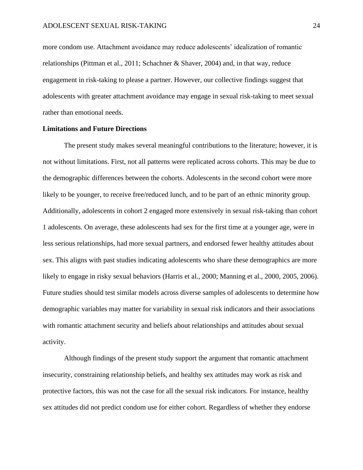more condom use. Attachment avoidance may reduce adolescents' idealization of romantic relationships (Pittman et al., 2011; Schachner & Shaver, 2004) and, in that way, reduce engagement in risk-taking to please a partner. However, our collective findings suggest that adolescents with greater attachment avoidance may engage in sexual risk-taking to meet sexual rather than emotional needs.

#### **Limitations and Future Directions**

The present study makes several meaningful contributions to the literature; however, it is not without limitations. First, not all patterns were replicated across cohorts. This may be due to the demographic differences between the cohorts. Adolescents in the second cohort were more likely to be younger, to receive free/reduced lunch, and to be part of an ethnic minority group. Additionally, adolescents in cohort 2 engaged more extensively in sexual risk-taking than cohort 1 adolescents. On average, these adolescents had sex for the first time at a younger age, were in less serious relationships, had more sexual partners, and endorsed fewer healthy attitudes about sex. This aligns with past studies indicating adolescents who share these demographics are more likely to engage in risky sexual behaviors (Harris et al., 2000; Manning et al., 2000, 2005, 2006). Future studies should test similar models across diverse samples of adolescents to determine how demographic variables may matter for variability in sexual risk indicators and their associations with romantic attachment security and beliefs about relationships and attitudes about sexual activity.

Although findings of the present study support the argument that romantic attachment insecurity, constraining relationship beliefs, and healthy sex attitudes may work as risk and protective factors, this was not the case for all the sexual risk indicators. For instance, healthy sex attitudes did not predict condom use for either cohort. Regardless of whether they endorse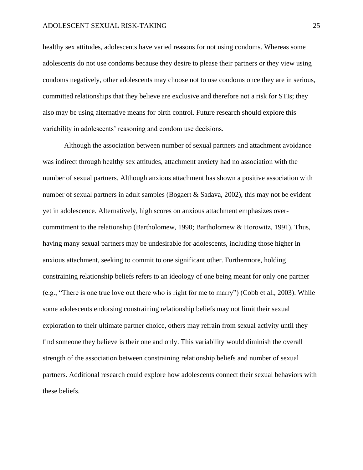healthy sex attitudes, adolescents have varied reasons for not using condoms. Whereas some adolescents do not use condoms because they desire to please their partners or they view using condoms negatively, other adolescents may choose not to use condoms once they are in serious, committed relationships that they believe are exclusive and therefore not a risk for STIs; they also may be using alternative means for birth control. Future research should explore this variability in adolescents' reasoning and condom use decisions.

Although the association between number of sexual partners and attachment avoidance was indirect through healthy sex attitudes, attachment anxiety had no association with the number of sexual partners. Although anxious attachment has shown a positive association with number of sexual partners in adult samples (Bogaert & Sadava, 2002), this may not be evident yet in adolescence. Alternatively, high scores on anxious attachment emphasizes overcommitment to the relationship (Bartholomew, 1990; Bartholomew & Horowitz, 1991). Thus, having many sexual partners may be undesirable for adolescents, including those higher in anxious attachment, seeking to commit to one significant other. Furthermore, holding constraining relationship beliefs refers to an ideology of one being meant for only one partner (e.g., "There is one true love out there who is right for me to marry") (Cobb et al., 2003). While some adolescents endorsing constraining relationship beliefs may not limit their sexual exploration to their ultimate partner choice, others may refrain from sexual activity until they find someone they believe is their one and only. This variability would diminish the overall strength of the association between constraining relationship beliefs and number of sexual partners. Additional research could explore how adolescents connect their sexual behaviors with these beliefs.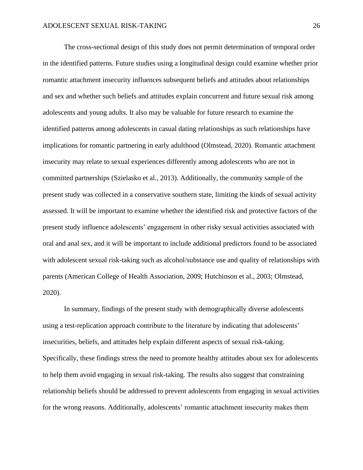The cross-sectional design of this study does not permit determination of temporal order in the identified patterns. Future studies using a longitudinal design could examine whether prior romantic attachment insecurity influences subsequent beliefs and attitudes about relationships and sex and whether such beliefs and attitudes explain concurrent and future sexual risk among adolescents and young adults. It also may be valuable for future research to examine the identified patterns among adolescents in casual dating relationships as such relationships have implications for romantic partnering in early adulthood (Olmstead, 2020). Romantic attachment insecurity may relate to sexual experiences differently among adolescents who are not in committed partnerships (Szielasko et al., 2013). Additionally, the community sample of the present study was collected in a conservative southern state, limiting the kinds of sexual activity assessed. It will be important to examine whether the identified risk and protective factors of the present study influence adolescents' engagement in other risky sexual activities associated with oral and anal sex, and it will be important to include additional predictors found to be associated with adolescent sexual risk-taking such as alcohol/substance use and quality of relationships with parents (American College of Health Association, 2009; Hutchinson et al., 2003; Olmstead, 2020).

In summary, findings of the present study with demographically diverse adolescents using a test-replication approach contribute to the literature by indicating that adolescents' insecurities, beliefs, and attitudes help explain different aspects of sexual risk-taking. Specifically, these findings stress the need to promote healthy attitudes about sex for adolescents to help them avoid engaging in sexual risk-taking. The results also suggest that constraining relationship beliefs should be addressed to prevent adolescents from engaging in sexual activities for the wrong reasons. Additionally, adolescents' romantic attachment insecurity makes them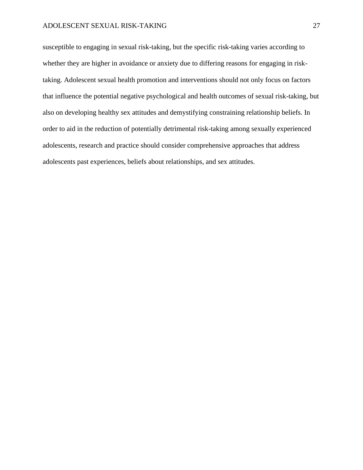susceptible to engaging in sexual risk-taking, but the specific risk-taking varies according to whether they are higher in avoidance or anxiety due to differing reasons for engaging in risktaking. Adolescent sexual health promotion and interventions should not only focus on factors that influence the potential negative psychological and health outcomes of sexual risk-taking, but also on developing healthy sex attitudes and demystifying constraining relationship beliefs. In order to aid in the reduction of potentially detrimental risk-taking among sexually experienced adolescents, research and practice should consider comprehensive approaches that address adolescents past experiences, beliefs about relationships, and sex attitudes.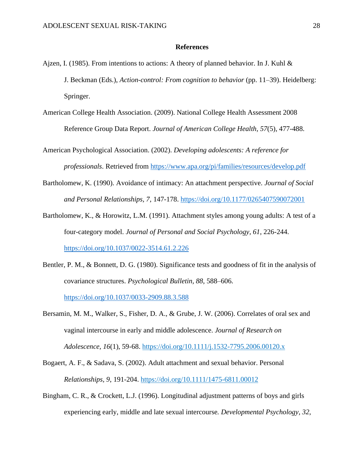#### **References**

- Ajzen, I. (1985). From intentions to actions: A theory of planned behavior. In J. Kuhl  $\&$ J. Beckman (Eds.), *Action-control: From cognition to behavior* (pp. 11–39). Heidelberg: Springer.
- American College Health Association. (2009). National College Health Assessment 2008 Reference Group Data Report. *Journal of American College Health, 57*(5), 477-488.

American Psychological Association. (2002). *Developing adolescents: A reference for professionals*. Retrieved from<https://www.apa.org/pi/families/resources/develop.pdf>

- Bartholomew, K. (1990). Avoidance of intimacy: An attachment perspective. *Journal of Social and Personal Relationships, 7*, 147-178. [https://doi.org/10.1177/0265407590072001](https://doi.org/10.1177%2F0265407590072001)
- Bartholomew, K., & Horowitz, L.M. (1991). Attachment styles among young adults: A test of a four-category model. *Journal of Personal and Social Psychology, 61*, 226-244. <https://doi.org/10.1037/0022-3514.61.2.226>
- Bentler, P. M., & Bonnett, D. G. (1980). Significance tests and goodness of fit in the analysis of covariance structures. *Psychological Bulletin, 88*, 588–606. <https://doi.org/10.1037/0033-2909.88.3.588>
- Bersamin, M. M., Walker, S., Fisher, D. A., & Grube, J. W. (2006). Correlates of oral sex and vaginal intercourse in early and middle adolescence. *Journal of Research on Adolescence, 16*(1), 59-68.<https://doi.org/10.1111/j.1532-7795.2006.00120.x>
- Bogaert, A. F., & Sadava, S. (2002). Adult attachment and sexual behavior. Personal *Relationships, 9*, 191-204. [https://doi.org/10.1111/1475-6811.00012](https://psycnet.apa.org/doi/10.1111/1475-6811.00012)
- Bingham, C. R., & Crockett, L.J. (1996). Longitudinal adjustment patterns of boys and girls experiencing early, middle and late sexual intercourse*. Developmental Psychology, 32*,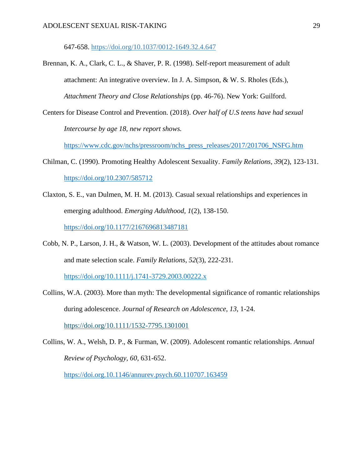647-658. [https://doi.org/10.1037/0012-1649.32.4.647](https://psycnet.apa.org/doi/10.1037/0012-1649.32.4.647)

- Brennan, K. A., Clark, C. L., & Shaver, P. R. (1998). Self-report measurement of adult attachment: An integrative overview. In J. A. Simpson, & W. S. Rholes (Eds.), *Attachment Theory and Close Relationships* (pp. 46-76). New York: Guilford.
- Centers for Disease Control and Prevention. (2018). *Over half of U.S teens have had sexual Intercourse by age 18, new report shows.*

[https://www.cdc.gov/nchs/pressroom/nchs\\_press\\_releases/2017/201706\\_NSFG.htm](https://www.cdc.gov/nchs/pressroom/nchs_press_releases/2017/201706_NSFG.htm)

- Chilman, C. (1990). Promoting Healthy Adolescent Sexuality. *Family Relations, 39*(2), 123-131. <https://doi.org/10.2307/585712>
- Claxton, S. E., van Dulmen, M. H. M. (2013). Casual sexual relationships and experiences in emerging adulthood. *Emerging Adulthood, 1*(2), 138-150. <https://doi.org/10.1177/2167696813487181>
- Cobb, N. P., Larson, J. H., & Watson, W. L. (2003). Development of the attitudes about romance and mate selection scale. *Family Relations, 52*(3), 222-231.

<https://doi.org/10.1111/j.1741-3729.2003.00222.x>

Collins, W.A. (2003). More than myth: The developmental significance of romantic relationships during adolescence. *Journal of Research on Adolescence, 13*, 1-24.

<https://doi.org/10.1111/1532-7795.1301001>

Collins, W. A., Welsh, D. P., & Furman, W. (2009). Adolescent romantic relationships. *Annual Review of Psychology, 60*, 631-652.

<https://doi.org.10.1146/annurev.psych.60.110707.163459>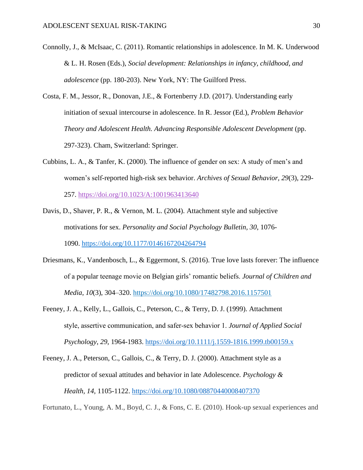- Connolly, J., & McIsaac, C. (2011). Romantic relationships in adolescence. In M. K. Underwood & L. H. Rosen (Eds.), *Social development: Relationships in infancy, childhood, and adolescence* (pp. 180-203). New York, NY: The Guilford Press.
- Costa, F. M., Jessor, R., Donovan, J.E., & Fortenberry J.D. (2017). Understanding early initiation of sexual intercourse in adolescence. In R. Jessor (Ed.), *Problem Behavior Theory and Adolescent Health. Advancing Responsible Adolescent Development* (pp. 297-323). Cham, Switzerland: Springer.
- Cubbins, L. A., & Tanfer, K. (2000). The influence of gender on sex: A study of men's and women's self-reported high-risk sex behavior. *Archives of Sexual Behavior, 29*(3), 229- 257.<https://doi.org/10.1023/A:1001963413640>
- Davis, D., Shaver, P. R., & Vernon, M. L. (2004). Attachment style and subjective motivations for sex. *Personality and Social Psychology Bulletin, 30*, 1076- 1090. [https://doi.org/10.1177/0146167204264794](https://doi.org/10.1177%2F0146167204264794)
- Driesmans, K., Vandenbosch, L., & Eggermont, S. (2016). True love lasts forever: The influence of a popular teenage movie on Belgian girls' romantic beliefs. *Journal of Children and Media*, *10*(3), 304–320.<https://doi.org/10.1080/17482798.2016.1157501>
- Feeney, J. A., Kelly, L., Gallois, C., Peterson, C., & Terry, D. J. (1999). Attachment style, assertive communication, and safer‐sex behavior 1. *Journal of Applied Social Psychology*, *29*, 1964-1983. <https://doi.org/10.1111/j.1559-1816.1999.tb00159.x>
- Feeney, J. A., Peterson, C., Gallois, C., & Terry, D. J. (2000). Attachment style as a predictor of sexual attitudes and behavior in late Adolescence*. Psychology & Health, 14,* 1105-1122. <https://doi.org/10.1080/08870440008407370>

Fortunato, L., Young, A. M., Boyd, C. J., & Fons, C. E. (2010). Hook-up sexual experiences and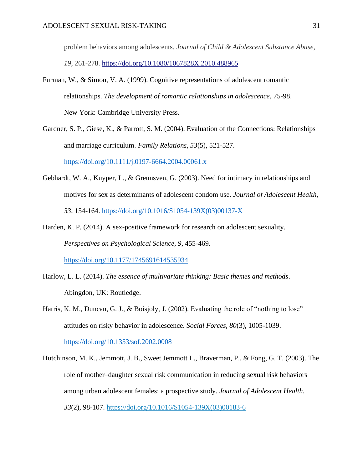problem behaviors among adolescents. *Journal of Child & Adolescent Substance Abuse, 19*, 261-278.<https://doi.org/10.1080/1067828X.2010.488965>

- Furman, W., & Simon, V. A. (1999). Cognitive representations of adolescent romantic relationships. *The development of romantic relationships in adolescence*, 75-98. New York: Cambridge University Press.
- Gardner, S. P., Giese, K., & Parrott, S. M. (2004). Evaluation of the Connections: Relationships and marriage curriculum. *Family Relations, 53*(5), 521-527. <https://doi.org/10.1111/j.0197-6664.2004.00061.x>
- Gebhardt, W. A., Kuyper, L., & Greunsven, G. (2003). Need for intimacy in relationships and motives for sex as determinants of adolescent condom use. *Journal of Adolescent Health, 33*, 154-164. [https://doi.org/10.1016/S1054-139X\(03\)00137-X](https://doi.org/10.1016/S1054-139X(03)00137-X)
- Harden, K. P. (2014). A sex-positive framework for research on adolescent sexuality. *Perspectives on Psychological Science, 9*, 455-469. <https://doi.org/10.1177/1745691614535934>
- Harlow, L. L. (2014). *The essence of multivariate thinking: Basic themes and methods*. Abingdon, UK: Routledge.
- Harris, K. M., Duncan, G. J., & Boisjoly, J. (2002). Evaluating the role of "nothing to lose" attitudes on risky behavior in adolescence. *Social Forces, 80*(3), 1005-1039. <https://doi.org/10.1353/sof.2002.0008>
- Hutchinson, M. K., Jemmott, J. B., Sweet Jemmott L., Braverman, P., & Fong, G. T. (2003). The role of mother–daughter sexual risk communication in reducing sexual risk behaviors among urban adolescent females: a prospective study. *Journal of Adolescent Health. 33*(2), 98-107. [https://doi.org/10.1016/S1054-139X\(03\)00183-6](https://doi.org/10.1016/S1054-139X(03)00183-6)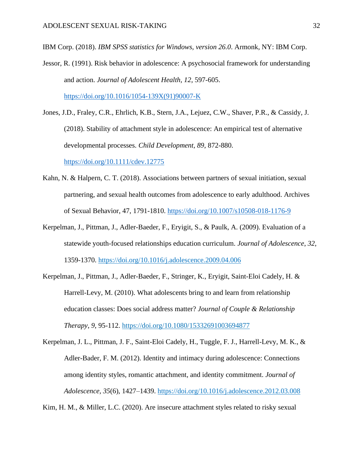IBM Corp. (2018). *IBM SPSS statistics for Windows, version 26.0*. Armonk, NY: IBM Corp.

- Jessor, R. (1991). Risk behavior in adolescence: A psychosocial framework for understanding and action. *Journal of Adolescent Health, 12*, 597-605. [https://doi.org/10.1016/1054-139X\(91\)90007-K](https://doi.org/10.1016/1054-139X(91)90007-K)
- Jones, J.D., Fraley, C.R., Ehrlich, K.B., Stern, J.A., Lejuez, C.W., Shaver, P.R., & Cassidy, J. (2018). Stability of attachment style in adolescence: An empirical test of alternative developmental processes. *Child Development, 89*, 872-880. <https://doi.org/10.1111/cdev.12775>
- Kahn, N. & Halpern, C. T. (2018). Associations between partners of sexual initiation, sexual partnering, and sexual health outcomes from adolescence to early adulthood. Archives of Sexual Behavior, 47, 1791-1810.<https://doi.org/10.1007/s10508-018-1176-9>
- Kerpelman, J., Pittman, J., Adler-Baeder, F., Eryigit, S., & Paulk, A. (2009). Evaluation of a statewide youth-focused relationships education curriculum. *Journal of Adolescence*, *32*, 1359-1370. [https://doi.org/10.1016/j.adolescence.2009.04.006](https://psycnet.apa.org/doi/10.1016/j.adolescence.2009.04.006)
- Kerpelman, J., Pittman, J., Adler-Baeder, F., Stringer, K., Eryigit, Saint-Eloi Cadely, H. & Harrell-Levy, M. (2010). What adolescents bring to and learn from relationship education classes: Does social address matter? *Journal of Couple & Relationship Therapy*, *9*, 95-112.<https://doi.org/10.1080/15332691003694877>

Kerpelman, J. L., Pittman, J. F., Saint-Eloi Cadely, H., Tuggle, F. J., Harrell-Levy, M. K., & Adler-Bader, F. M. (2012). Identity and intimacy during adolescence: Connections among identity styles, romantic attachment, and identity commitment. *Journal of Adolescence, 35*(6), 1427–1439. [https://doi.org/10.1016/j.adolescence.2012.03.008](https://psycnet.apa.org/doi/10.1016/j.adolescence.2012.03.008)

Kim, H. M., & Miller, L.C. (2020). Are insecure attachment styles related to risky sexual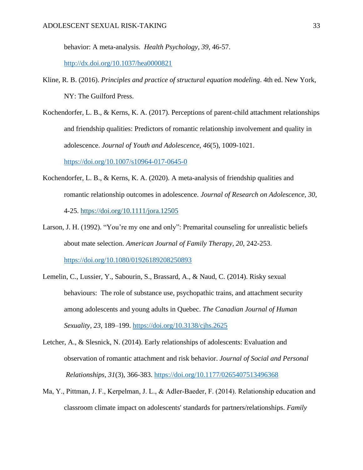behavior: A meta-analysis. *Health Psychology, 39*, 46-57.

<http://dx.doi.org/10.1037/hea0000821>

- Kline, R. B. (2016). *Principles and practice of structural equation modeling*. 4th ed. New York, NY: The Guilford Press.
- Kochendorfer, L. B., & Kerns, K. A. (2017). Perceptions of parent-child attachment relationships and friendship qualities: Predictors of romantic relationship involvement and quality in adolescence. *Journal of Youth and Adolescence*, *46*(5), 1009-1021.

<https://doi.org/10.1007/s10964-017-0645-0>

- Kochendorfer, L. B., & Kerns, K. A. (2020). A meta-analysis of friendship qualities and romantic relationship outcomes in adolescence. *Journal of Research on Adolescence, 30*, 4-25.<https://doi.org/10.1111/jora.12505>
- Larson, J. H. (1992). "You're my one and only": Premarital counseling for unrealistic beliefs about mate selection. *American Journal of Family Therapy, 20*, 242-253. <https://doi.org/10.1080/01926189208250893>
- Lemelin, C., Lussier, Y., Sabourin, S., Brassard, A., & Naud, C. (2014). Risky sexual behaviours: The role of substance use, psychopathic trains, and attachment security among adolescents and young adults in Quebec. *The Canadian Journal of Human Sexuality, 23*, 189–199. <https://doi.org/10.3138/cjhs.2625>
- Letcher, A., & Slesnick, N. (2014). Early relationships of adolescents: Evaluation and observation of romantic attachment and risk behavior. *Journal of Social and Personal Relationships, 31*(3), 366-383. [https://doi.org/10.1177/0265407513496368](https://doi.org/10.1177%2F0265407513496368)
- Ma, Y., Pittman, J. F., Kerpelman, J. L., & Adler-Baeder, F. (2014). Relationship education and classroom climate impact on adolescents' standards for partners/relationships. *Family*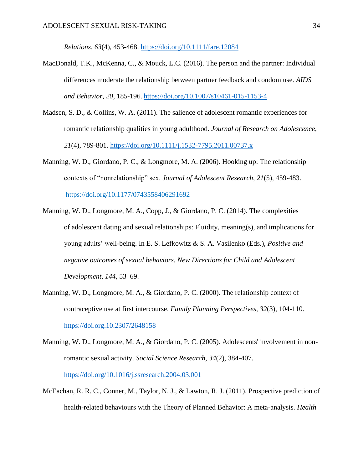*Relations*, *63*(4), 453-468.<https://doi.org/10.1111/fare.12084>

- MacDonald, T.K., McKenna, C., & Mouck, L.C. (2016). The person and the partner: Individual differences moderate the relationship between partner feedback and condom use. *AIDS and Behavior, 20*, 185-196. <https://doi.org/10.1007/s10461-015-1153-4>
- Madsen, S. D., & Collins, W. A. (2011). The salience of adolescent romantic experiences for romantic relationship qualities in young adulthood. *Journal of Research on Adolescence, 21*(4), 789-801.<https://doi.org/10.1111/j.1532-7795.2011.00737.x>
- Manning, W. D., Giordano, P. C., & Longmore, M. A. (2006). Hooking up: The relationship contexts of "nonrelationship" sex. *Journal of Adolescent Research*, *21*(5), 459-483. [https://doi.org/10.1177/0743558406291692](https://doi.org/10.1177%2F0743558406291692)
- Manning, W. D., Longmore, M. A., Copp, J., & Giordano, P. C. (2014). The complexities of adolescent dating and sexual relationships: Fluidity, meaning(s), and implications for young adults' well-being. In E. S. Lefkowitz & S. A. Vasilenko (Eds.), *Positive and negative outcomes of sexual behaviors. New Directions for Child and Adolescent Development, 144,* 53–69.
- Manning, W. D., Longmore, M. A., & Giordano, P. C. (2000). The relationship context of contraceptive use at first intercourse. *Family Planning Perspectives, 32*(3), 104-110. <https://doi.org.10.2307/2648158>
- Manning, W. D., Longmore, M. A., & Giordano, P. C. (2005). Adolescents' involvement in nonromantic sexual activity. *Social Science Research, 34*(2), 384-407. <https://doi.org/10.1016/j.ssresearch.2004.03.001>
- McEachan, R. R. C., Conner, M., Taylor, N. J., & Lawton, R. J. (2011). Prospective prediction of health-related behaviours with the Theory of Planned Behavior: A meta-analysis. *Health*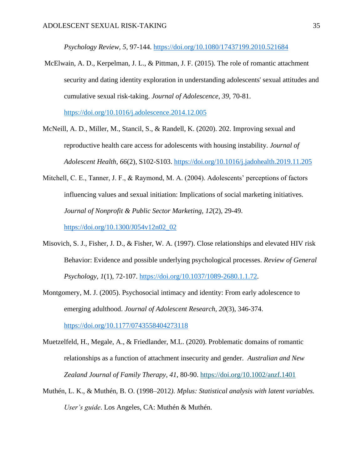*Psychology Review, 5*, 97-144.<https://doi.org/10.1080/17437199.2010.521684>

McElwain, A. D., Kerpelman, J. L., & Pittman, J. F. (2015). The role of romantic attachment security and dating identity exploration in understanding adolescents' sexual attitudes and cumulative sexual risk-taking. *Journal of Adolescence*, *39*, 70-81.

<https://doi.org/10.1016/j.adolescence.2014.12.005>

- McNeill, A. D., Miller, M., Stancil, S., & Randell, K. (2020). 202. Improving sexual and reproductive health care access for adolescents with housing instability. *Journal of Adolescent Health*, *66*(2), S102-S103.<https://doi.org/10.1016/j.jadohealth.2019.11.205>
- Mitchell, C. E., Tanner, J. F., & Raymond, M. A. (2004). Adolescents' perceptions of factors influencing values and sexual initiation: Implications of social marketing initiatives. *Journal of Nonprofit & Public Sector Marketing, 12*(2), 29-49.

[https://doi.org/10.1300/J054v12n02\\_02](https://doi.org/10.1300/J054v12n02_02)

- Misovich, S. J., Fisher, J. D., & Fisher, W. A. (1997). Close relationships and elevated HIV risk Behavior: Evidence and possible underlying psychological processes. *Review of General Psychology, 1*(1), 72-107. [https://doi.org/10.1037/1089-2680.1.1.72.](https://doi.org/10.1037%2F1089-2680.1.1.72)
- Montgomery, M. J. (2005). Psychosocial intimacy and identity: From early adolescence to emerging adulthood. *Journal of Adolescent Research, 20*(3), 346-374.

<https://doi.org/10.1177/0743558404273118>

- Muetzelfeld, H., Megale, A., & Friedlander, M.L. (2020). Problematic domains of romantic relationships as a function of attachment insecurity and gender. *Australian and New Zealand Journal of Family Therapy, 41*, 80-90.<https://doi.org/10.1002/anzf.1401>
- Muthén, L. K., & Muthén, B. O. (1998–2012*). Mplus: Statistical analysis with latent variables. User's guide*. Los Angeles, CA: Muthén & Muthén.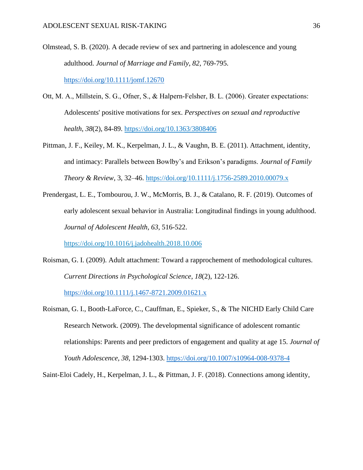- Olmstead, S. B. (2020). A decade review of sex and partnering in adolescence and young adulthood. *Journal of Marriage and Family, 82*, 769-795. <https://doi.org/10.1111/jomf.12670>
- Ott, M. A., Millstein, S. G., Ofner, S., & Halpern‐Felsher, B. L. (2006). Greater expectations: Adolescents' positive motivations for sex. *Perspectives on sexual and reproductive health*, *38*(2), 84-89. <https://doi.org/10.1363/3808406>
- Pittman, J. F., Keiley, M. K., Kerpelman, J. L., & Vaughn, B. E. (2011). Attachment, identity, and intimacy: Parallels between Bowlby's and Erikson's paradigms. *Journal of Family Theory & Review*, 3, 32–46.<https://doi.org/10.1111/j.1756-2589.2010.00079.x>
- Prendergast, L. E., Tombourou, J. W., McMorris, B. J., & Catalano, R. F. (2019). Outcomes of early adolescent sexual behavior in Australia: Longitudinal findings in young adulthood. *Journal of Adolescent Health, 63*, 516-522.

<https://doi.org/10.1016/j.jadohealth.2018.10.006>

Roisman, G. I. (2009). Adult attachment: Toward a rapprochement of methodological cultures. *Current Directions in Psychological Science*, *18*(2), 122-126.

<https://doi.org/10.1111/j.1467-8721.2009.01621.x>

Roisman, G. I., Booth-LaForce, C., Cauffman, E., Spieker, S., & The NICHD Early Child Care Research Network. (2009). The developmental significance of adolescent romantic relationships: Parents and peer predictors of engagement and quality at age 15. *Journal of Youth Adolescence, 38*, 1294-1303.<https://doi.org/10.1007/s10964-008-9378-4>

Saint-Eloi Cadely, H., Kerpelman, J. L., & Pittman, J. F. (2018). Connections among identity,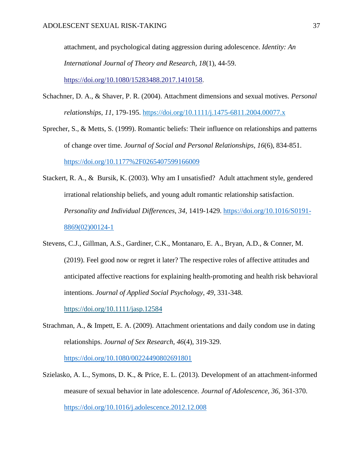attachment, and psychological dating aggression during adolescence. *Identity: An International Journal of Theory and Research, 18*(1), 44-59. [https://doi.org/10.1080/15283488.2017.1410158.](https://doi.org/10.1080/15283488.2017.1410158)

- Schachner, D. A., & Shaver, P. R. (2004). Attachment dimensions and sexual motives. *Personal relationships*, *11*, 179-195. <https://doi.org/10.1111/j.1475-6811.2004.00077.x>
- Sprecher, S., & Metts, S. (1999). Romantic beliefs: Their influence on relationships and patterns of change over time. *Journal of Social and Personal Relationships*, *16*(6), 834-851. <https://doi.org/10.1177%2F0265407599166009>
- Stackert, R. A., & Bursik, K. (2003). Why am I unsatisfied? Adult attachment style, gendered irrational relationship beliefs, and young adult romantic relationship satisfaction. *Personality and Individual Differences, 34*, 1419-1429. [https://doi.org/10.1016/S0191-](https://doi.org/10.1016/S0191-8869(02)00124-1) [8869\(02\)00124-1](https://doi.org/10.1016/S0191-8869(02)00124-1)
- Stevens, C.J., Gillman, A.S., Gardiner, C.K., Montanaro, E. A., Bryan, A.D., & Conner, M. (2019). Feel good now or regret it later? The respective roles of affective attitudes and anticipated affective reactions for explaining health-promoting and health risk behavioral intentions. *Journal of Applied Social Psychology, 49*, 331-348. <https://doi.org/10.1111/jasp.12584>
- Strachman, A., & Impett, E. A. (2009). Attachment orientations and daily condom use in dating relationships. *Journal of Sex Research, 46*(4), 319-329.

<https://doi.org/10.1080/00224490802691801>

Szielasko, A. L., Symons, D. K., & Price, E. L. (2013). Development of an attachment-informed measure of sexual behavior in late adolescence. *Journal of Adolescence, 36*, 361-370. <https://doi.org/10.1016/j.adolescence.2012.12.008>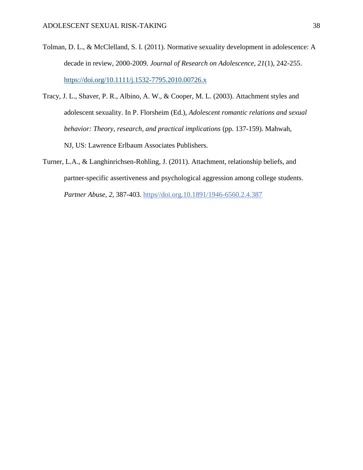- Tolman, D. L., & McClelland, S. I. (2011). Normative sexuality development in adolescence: A decade in review, 2000-2009. *Journal of Research on Adolescence, 21*(1), 242-255. <https://doi.org/10.1111/j.1532-7795.2010.00726.x>
- Tracy, J. L., Shaver, P. R., Albino, A. W., & Cooper, M. L. (2003). Attachment styles and adolescent sexuality. In P. Florsheim (Ed.), *Adolescent romantic relations and sexual behavior: Theory, research, and practical implications* (pp. 137-159). Mahwah, NJ, US: Lawrence Erlbaum Associates Publishers.
- Turner, L.A., & Langhinrichsen-Rohling, J. (2011). Attachment, relationship beliefs, and partner-specific assertiveness and psychological aggression among college students. *Partner Abuse, 2*, 387-403. https//doi.org.10.1891/1946-6560.2.4.387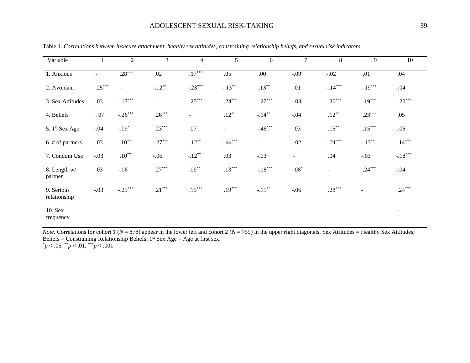| Variable                   |          | $\boldsymbol{2}$ | 3         | $\overline{4}$ | 5              | 6              | $\tau$         | 8              | 9         | 10                       |
|----------------------------|----------|------------------|-----------|----------------|----------------|----------------|----------------|----------------|-----------|--------------------------|
| 1. Anxious                 | $\sim$   | $.28***$         | $.02\,$   | $.17***$       | .05            | $.00\,$        | $-0.09*$       | $-.02$         | .01       | .04                      |
| 2. Avoidant                | $.25***$ | $\blacksquare$   | $-.12***$ | $-.23***$      | $-.13***$      | $.13***$       | .01            | $-.14***$      | $-.19***$ | $-.04$                   |
| 3. Sex Attitudes           | .03      | $-.17***$        | $\sim$    | $.25***$       | $.24***$       | $-.27***$      | $-.03$         | $.30***$       | $.19***$  | $-.20***$                |
| 4. Beliefs                 | .07      | $-.26***$        | $.26***$  | $\blacksquare$ | $.12***$       | $-.14***$      | $-.04$         | $.12***$       | $.23***$  | .05                      |
| 5. 1 <sup>st</sup> Sex Age | $-.04$   | $-.09*$          | $.23***$  | $.07$          | $\blacksquare$ | $-.46***$      | .03            | $.15***$       | $.15***$  | $-.05$                   |
| 6. # of partners           | .03      | $.10^{**}$       | $-.27***$ | $-.12**$       | $-.44***$      | $\blacksquare$ | $-.02$         | $-.21***$      | $-.13***$ | $.14***$                 |
| 7. Condom Use              | $-.03$   | $.10***$         | $-.06$    | $-.12**$       | .03            | $-.03$         | $\blacksquare$ | .04            | $-.03$    | $-.18***$                |
| 8. Length w/<br>partner    | .03      | $-.06$           | $.27***$  | $.09***$       | $.13***$       | $-.18***$      | $.08^{\ast}$   | $\blacksquare$ | $.24***$  | $-.04$                   |
| 9. Serious<br>relationship | $-.03$   | $-.25***$        | $.21***$  | $.15***$       | $.19***$       | $-.11***$      | $-.06$         | $.28***$       |           | $.24***$                 |
| 10. Sex<br>frequency       |          |                  |           |                |                |                |                |                |           | $\overline{\phantom{a}}$ |

Table 1. *Correlations between insecure attachment, healthy sex attitudes, constraining relationship beliefs, and sexual risk indicators*.

*Note*. Correlations for cohort 1 ( $N = 878$ ) appear in the lower left and cohort 2 ( $N = 759$ ) in the upper right diagonals. Sex Attitudes = Healthy Sex Attitudes; Beliefs = Constraining Relationship Beliefs;  $1<sup>st</sup>$  Sex Age = Age at first sex.  $p < .05,$  \*\**p* < .01, \*\*\**p* < .001.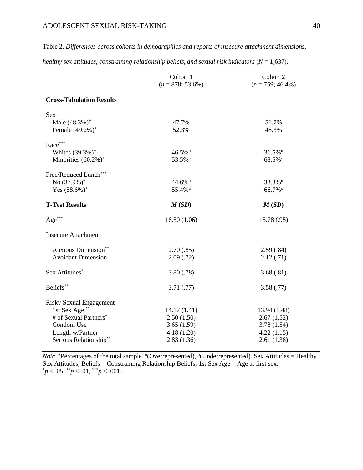Table 2. *Differences across cohorts in demographics and reports of insecure attachment dimensions,* 

|                                 | Cohort 1<br>$(n = 878; 53.6\%)$ | Cohort 2<br>$(n = 759; 46.4\%)$ |
|---------------------------------|---------------------------------|---------------------------------|
|                                 |                                 |                                 |
| <b>Cross-Tabulation Results</b> |                                 |                                 |
| <b>Sex</b>                      |                                 |                                 |
| Male $(48.3\%)^+$               | 47.7%                           | 51.7%                           |
| Female (49.2%) <sup>+</sup>     | 52.3%                           | 48.3%                           |
| Race***                         |                                 |                                 |
| Whites $(39.3\%)^+$             | 46.5%°                          | 31.5% <sup>u</sup>              |
| Minorities $(60.2\%)^+$         | 53.5% <sup>u</sup>              | 68.5%°                          |
| Free/Reduced Lunch***           |                                 |                                 |
| No $(37.9\%)^+$                 | 44.6%°                          | 33.3%u                          |
| Yes $(58.6\%)$ <sup>+</sup>     | 55.4% <sup>u</sup>              | 66.7%°                          |
| <b>T-Test Results</b>           | M(SD)                           | M(SD)                           |
| Age***                          | 16.50(1.06)                     | 15.78 (.95)                     |
| <b>Insecure Attachment</b>      |                                 |                                 |
| Anxious Dimension**             | 2.70(.85)                       | 2.59(.84)                       |
| <b>Avoidant Dimension</b>       | 2.09(0.72)                      | 2.12(.71)                       |
| Sex Attitudes**                 | 3.80(.78)                       | 3.68(.81)                       |
| Beliefs**                       | 3.71(.77)                       | 3.58(.77)                       |
| <b>Risky Sexual Engagement</b>  |                                 |                                 |
| 1st Sex Age <sup>**</sup>       | 14.17(1.41)                     | 13.94 (1.48)                    |
| # of Sexual Partners*           | 2.50(1.50)                      | 2.67(1.52)                      |
| Condom Use                      | 3.65(1.59)                      | 3.78(1.54)                      |
| Length w/Partner                | 4.18(1.20)                      | 4.22(1.15)                      |
| Serious Relationship**          | 2.83(1.36)                      | 2.61(1.38)                      |

*healthy sex attitudes, constraining relationship beliefs, and sexual risk indicators* (*N* = 1,637).

*Note*. <sup>+</sup>Percentages of the total sample. <sup>o</sup>(Overrepresented), <sup>u</sup>(Underrepresented). Sex Attitudes = Healthy Sex Attitudes; Beliefs = Constraining Relationship Beliefs; 1st Sex  $\overrightarrow{Age} = \overrightarrow{Age}$  at first sex.  $p < .05,$  \*\* $p < .01,$  \*\*\* $p < .001$ .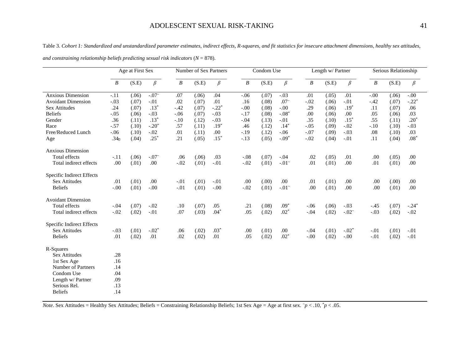Table 3. *Cohort 1: Standardized and unstandardized parameter estimates, indirect effects, R-squares, and fit statistics for insecure attachment dimensions, healthy sex attitudes,* 

|                                                                     | Age at First Sex |                |               | Number of Sex Partners |                |                  | Condom Use       |                |                  |                  | Length w/ Partner |             | Serious Relationship |                |            |  |
|---------------------------------------------------------------------|------------------|----------------|---------------|------------------------|----------------|------------------|------------------|----------------|------------------|------------------|-------------------|-------------|----------------------|----------------|------------|--|
|                                                                     | B                | (S.E)          | $\beta$       | $\boldsymbol{B}$       | (S.E)          | $\beta$          | $\boldsymbol{B}$ | (S.E)          | $\beta$          | $\boldsymbol{B}$ | (S.E)             | $\beta$     | $\boldsymbol{B}$     | (S.E)          | $\beta$    |  |
| <b>Anxious Dimension</b>                                            | $-.11$           | (.06)          | $-.072$       | .07                    | (.06)          | .04              | $-.06$           | (.07)          | $-.03$           | .01              | (.05)             | .01         | $-.00$               | (.06)          | $-.00$     |  |
| <b>Avoidant Dimension</b>                                           | $-.03$           | (.07)          | $-.01$        | .02                    | (.07)          | .01              | .16              | (.08)          | .07 <sup>~</sup> | $-.02$           | (.06)             | $-.01$      | $-.42$               | (.07)          | $-.22*$    |  |
| <b>Sex Attitudes</b>                                                | .24              | (.07)          | $.13*$        | $-42$                  | (.07)          | $-.22*$          | $-.00$           | (.08)          | $-.00$           | .29              | (.06)             | $.19*$      | .11                  | (.07)          | .06        |  |
| <b>Beliefs</b>                                                      | $-.05$           | (.06)          | $-.03$        | $-.06$                 | (.07)          | $-.03$           | $-.17$           | (.08)          | $-.08*$          | .00              | (.06)             | .00         | .05                  | (.06)          | .03        |  |
| Gender                                                              | .36              | (.11)          | $.13*$        | $-.10$                 | (.12)          | $-.03$           | $-.04$           | (.13)          | $-.01$           | .35              | (.10)             | $.15*$      | .55                  | (.11)          | $.20*$     |  |
| Race                                                                | $-.57$           | (.10)          | $-.20*$       | .57                    | (.11)          | $.19*$           | .46              | (.12)          | $.14*$           | $-.05$           | (.09)             | $-.02$      | $-.10$               | (.10)          | $-.03$     |  |
| Free/Reduced Lunch                                                  | $-0.06$          | (.10)          | $-.02$        | .01                    | (.11)          | .00              | $-.19$           | (.12)          | $-.06$           | $-.07$           | (.09)             | $-.03$      | .08                  | (.10)          | .03        |  |
| Age                                                                 | .34 <sub>g</sub> | (.04)          | $.25*$        | .21                    | (.05)          | $.15*$           | $-.13$           | (.05)          | $-.09*$          | $-.02$           | (.04)             | $-.01$      | .11                  | (.04)          | $.08*$     |  |
| <b>Anxious Dimension</b>                                            |                  |                |               |                        |                |                  |                  |                |                  |                  |                   |             |                      |                |            |  |
| <b>Total effects</b>                                                | $-.11$           | (.06)          | $-.072$       | .06                    | (.06)          | .03              | $-.08$           | (.07)          | $-.04$           | .02              | (.05)             | .01         | .00                  | (.05)          | .00        |  |
| Total indirect effects                                              | .00              | (.01)          | .00           | $-.02$                 | (.01)          | $-.01$           | $-.02$           | (.01)          | $-.012$          | .01              | (.01)             | .00.        | .01                  | (.01)          | .00.       |  |
| Specific Indirect Effects<br><b>Sex Attitudes</b><br><b>Beliefs</b> | .01<br>$-.00$    | (.01)<br>(.01) | .00<br>$-.00$ | $-.01$<br>$-.01$       | (.01)<br>(.01) | $-.01$<br>$-.00$ | .00<br>$-.02$    | (.00)<br>(.01) | .00<br>$-.012$   | .01<br>.00       | (.01)<br>(.01)    | .00<br>.00. | .00<br>.00           | (.00)<br>(.01) | .00<br>.00 |  |
|                                                                     |                  |                |               |                        |                |                  |                  |                |                  |                  |                   |             |                      |                |            |  |
| <b>Avoidant Dimension</b><br><b>Total effects</b>                   | $-.04$           | (.07)          | $-.02$        | .10                    | (.07)          | .05              | .21              | (.08)          | $.09*$           | $-.06$           | (.06)             | $-.03$      | $-.45$               | (.07)          | $-.24*$    |  |
| Total indirect effects                                              | $-.02$           | (.02)          | $-.01$        | .07                    | (.03)          | $.04*$           | .05              | (.02)          | $.02*$           | $-.04$           | (.02)             | $-.022$     | $-.03$               | (.02)          | $-.02$     |  |
|                                                                     |                  |                |               |                        |                |                  |                  |                |                  |                  |                   |             |                      |                |            |  |
| Specific Indirect Effects<br><b>Sex Attitudes</b>                   | $-.03$           | (.01)          | $-.02*$       | .06                    | (.02)          | $.03*$           | .00              | (.01)          | .00              | $-.04$           | (.01)             | $-.02*$     | $-.01$               | (.01)          | $-.01$     |  |
| <b>Beliefs</b>                                                      | .01              | (.02)          | .01           | .02                    | (.02)          | .01              | .05              | (.02)          | $.02*$           | $-.00$           | (.02)             | $-.00$      | $-.01$               | (.02)          | $-.01$     |  |
| R-Squares                                                           |                  |                |               |                        |                |                  |                  |                |                  |                  |                   |             |                      |                |            |  |
| <b>Sex Attitudes</b>                                                | .28              |                |               |                        |                |                  |                  |                |                  |                  |                   |             |                      |                |            |  |
| 1st Sex Age                                                         | .16              |                |               |                        |                |                  |                  |                |                  |                  |                   |             |                      |                |            |  |
| Number of Partners                                                  | .14              |                |               |                        |                |                  |                  |                |                  |                  |                   |             |                      |                |            |  |
| Condom Use                                                          | .04              |                |               |                        |                |                  |                  |                |                  |                  |                   |             |                      |                |            |  |
| Length w/ Partner                                                   | .09              |                |               |                        |                |                  |                  |                |                  |                  |                   |             |                      |                |            |  |
| Serious Rel.                                                        | .13              |                |               |                        |                |                  |                  |                |                  |                  |                   |             |                      |                |            |  |
| <b>Beliefs</b>                                                      | .14              |                |               |                        |                |                  |                  |                |                  |                  |                   |             |                      |                |            |  |
|                                                                     |                  |                |               |                        |                |                  |                  |                |                  |                  |                   |             |                      |                |            |  |

*and constraining relationship beliefs predicting sexual risk indicators* (*N* = 878).

*Note*. Sex Attitudes = Healthy Sex Attitudes; Beliefs = Constraining Relationship Beliefs; 1st Sex Age = Age at first sex.  $\tilde{\gamma}$  < .10,  $\tilde{\gamma}$  < .05.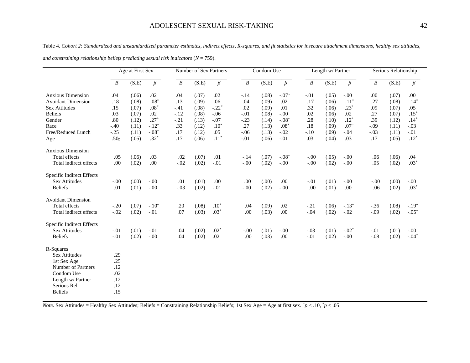Table 4. *Cohort 2: Standardized and unstandardized parameter estimates, indirect effects, R-squares, and fit statistics for insecure attachment dimensions, healthy sex attitudes,* 

|                           | Age at First Sex |       |         | Number of Sex Partners |       |         | Condom Use       |       |         |                  | Length w/ Partner |                  | Serious Relationship |       |         |
|---------------------------|------------------|-------|---------|------------------------|-------|---------|------------------|-------|---------|------------------|-------------------|------------------|----------------------|-------|---------|
|                           | B                | (S.E) | $\beta$ | $\boldsymbol{B}$       | (S.E) | $\beta$ | $\boldsymbol{B}$ | (S.E) | $\beta$ | $\boldsymbol{B}$ | (S.E)             | $\beta$          | $\boldsymbol{B}$     | (S.E) | $\beta$ |
| <b>Anxious Dimension</b>  | .04              | (.06) | $.02\,$ | .04                    | (.07) | .02     | $-.14$           | (.08) | $-.07°$ | $-.01$           | (.05)             | $-.00$           | .00                  | (.07) | .00     |
| <b>Avoidant Dimension</b> | $-.18$           | (.08) | $-.08*$ | .13                    | (.09) | .06     | .04              | (.09) | .02     | $-.17$           | (.06)             | $-.11*$          | $-.27$               | (.08) | $-.14*$ |
| <b>Sex Attitudes</b>      | .15              | (.07) | $.08*$  | $-41$                  | (.08) | $-.22*$ | .02              | (.09) | .01     | .32              | (.06)             | $.23*$           | .09                  | (.07) | .05     |
| Beliefs                   | .03              | (.07) | .02     | $-.12$                 | (.08) | $-.06$  | $-.01$           | (.08) | $-.00$  | .02              | (.06)             | .02              | .27                  | (.07) | $.15*$  |
| Gender                    | .80              | (.12) | $.27*$  | $-.21$                 | (.13) | $-.07$  | $-.23$           | (.14) | $-.082$ | .28              | (.10)             | $.12*$           | .39                  | (.12) | $.14*$  |
| Race                      | $-.40$           | (.11) | $-.12*$ | .33                    | (.12) | $.10*$  | .27              | (.13) | $.08*$  | .18              | (.09)             | .07 <sup>~</sup> | $-.09$               | (.11) | $-.03$  |
| Free/Reduced Lunch        | $-.25$           | (.11) | $-.08*$ | .17                    | (.12) | .05     | $-.06$           | (.13) | $-.02$  | $-.10$           | (.09)             | $-.04$           | $-.03$               | (.11) | $-.01$  |
| Age                       | $.50\alpha$      | (.05) | $.32*$  | .17                    | (.06) | $.11*$  | $-.01$           | (.06) | $-.01$  | .03              | (.04)             | .03              | .17                  | (.05) | $.12*$  |
| <b>Anxious Dimension</b>  |                  |       |         |                        |       |         |                  |       |         |                  |                   |                  |                      |       |         |
| <b>Total effects</b>      | .05              | (.06) | .03     | .02                    | (.07) | .01     | $-.14$           | (.07) | $-.080$ | $-.00$           | (.05)             | $-.00$           | .06                  | (.06) | .04     |
| Total indirect effects    | .00              | (.02) | .00     | $-.02$                 | (.02) | $-.01$  | $-.00$           | (.02) | $-.00$  | $-.00$           | (.02)             | $-.00$           | .05                  | (.02) | $.03*$  |
| Specific Indirect Effects |                  |       |         |                        |       |         |                  |       |         |                  |                   |                  |                      |       |         |
| Sex Attitudes             | $-.00$           | (.00) | $-.00$  | .01                    | (.01) | .00     | .00              | (.00) | .00     | $-.01$           | (.01)             | $-.00$           | $-0.00$              | (.00) | $-.00$  |
| <b>Beliefs</b>            | .01              | (.01) | $-.00$  | $-.03$                 | (.02) | $-.01$  | $-.00$           | (.02) | $-.00$  | .00              | (.01)             | .00.             | .06                  | (.02) | $.03*$  |
| <b>Avoidant Dimension</b> |                  |       |         |                        |       |         |                  |       |         |                  |                   |                  |                      |       |         |
| <b>Total effects</b>      | $-.20$           | (.07) | $-.10*$ | .20                    | (.08) | $.10*$  | .04              | (.09) | .02     | $-.21$           | (.06)             | $-.13*$          | $-.36$               | (.08) | $-.19*$ |
| Total indirect effects    | $-.02$           | (.02) | $-.01$  | .07                    | (.03) | $.03*$  | .00              | (.03) | .00     | $-.04$           | (.02)             | $-.02$           | $-.09$               | (.02) | $-.05*$ |
| Specific Indirect Effects |                  |       |         |                        |       |         |                  |       |         |                  |                   |                  |                      |       |         |
| <b>Sex Attitudes</b>      | $-.01$           | (.01) | $-.01$  | .04                    | (.02) | $.02*$  | $-0.00$          | (.01) | $-.00$  | $-.03$           | (.01)             | $-.02*$          | $-.01$               | (.01) | $-.00$  |
| <b>Beliefs</b>            | $-.01$           | (.02) | $-.00$  | .04                    | (.02) | $.02\,$ | .00              | (.03) | .00     | $-.01$           | (.02)             | $-.00$           | $-.08$               | (.02) | $-.04*$ |
| R-Squares                 |                  |       |         |                        |       |         |                  |       |         |                  |                   |                  |                      |       |         |
| <b>Sex Attitudes</b>      | .29              |       |         |                        |       |         |                  |       |         |                  |                   |                  |                      |       |         |
| 1st Sex Age               | .25              |       |         |                        |       |         |                  |       |         |                  |                   |                  |                      |       |         |
| Number of Partners        | .12              |       |         |                        |       |         |                  |       |         |                  |                   |                  |                      |       |         |
| Condom Use                | .02              |       |         |                        |       |         |                  |       |         |                  |                   |                  |                      |       |         |
| Length w/ Partner         | .12              |       |         |                        |       |         |                  |       |         |                  |                   |                  |                      |       |         |
| Serious Rel.              | .12              |       |         |                        |       |         |                  |       |         |                  |                   |                  |                      |       |         |
| <b>Beliefs</b>            | .15              |       |         |                        |       |         |                  |       |         |                  |                   |                  |                      |       |         |

*and constraining relationship beliefs predicting sexual risk indicators* (*N* = 759).

*Note*. Sex Attitudes = Healthy Sex Attitudes; Beliefs = Constraining Relationship Beliefs; 1st Sex Age = Age at first sex.  $\tilde{\gamma}$  < .10,  $\tilde{\gamma}$  < .05.